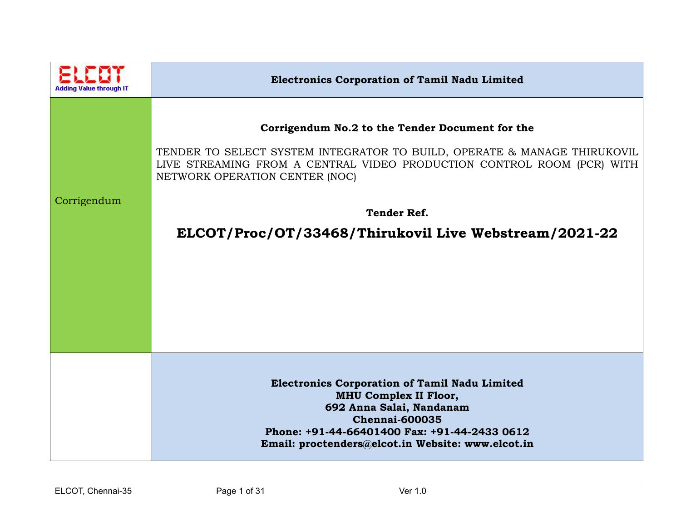|             | <b>Electronics Corporation of Tamil Nadu Limited</b>                                                                                                                                                                                                                                                                   |
|-------------|------------------------------------------------------------------------------------------------------------------------------------------------------------------------------------------------------------------------------------------------------------------------------------------------------------------------|
| Corrigendum | Corrigendum No.2 to the Tender Document for the<br>TENDER TO SELECT SYSTEM INTEGRATOR TO BUILD, OPERATE & MANAGE THIRUKOVIL<br>LIVE STREAMING FROM A CENTRAL VIDEO PRODUCTION CONTROL ROOM (PCR) WITH<br>NETWORK OPERATION CENTER (NOC)<br><b>Tender Ref.</b><br>ELCOT/Proc/OT/33468/Thirukovil Live Webstream/2021-22 |
|             | <b>Electronics Corporation of Tamil Nadu Limited</b><br><b>MHU Complex II Floor,</b><br>692 Anna Salai, Nandanam<br><b>Chennai-600035</b><br>Phone: +91-44-66401400 Fax: +91-44-2433 0612<br>Email: proctenders@elcot.in Website: www.elcot.in                                                                         |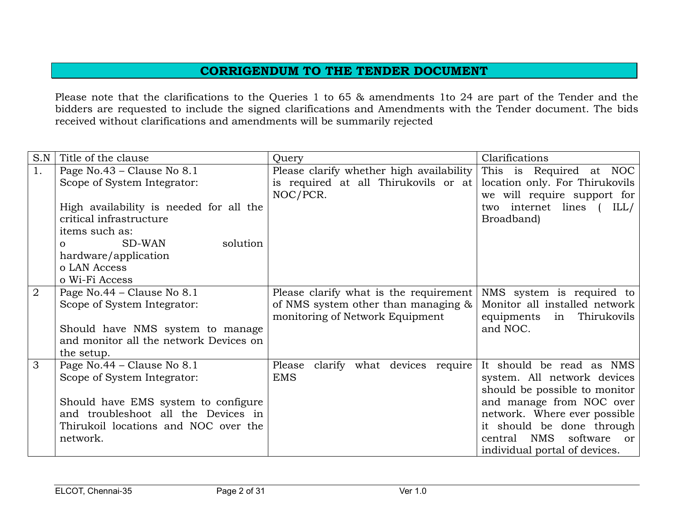## **CORRIGENDUM TO THE TENDER DOCUMENT**

Please note that the clarifications to the Queries 1 to 65 & amendments 1to 24 are part of the Tender and the bidders are requested to include the signed clarifications and Amendments with the Tender document. The bids received without clarifications and amendments will be summarily rejected

| S.N            | Title of the clause                     | Query                                                               | Clarifications                |
|----------------|-----------------------------------------|---------------------------------------------------------------------|-------------------------------|
| 1.             | Page No.43 - Clause No 8.1              | Please clarify whether high availability                            | This is Required at NOC       |
|                | Scope of System Integrator:             | is required at all Thirukovils or at location only. For Thirukovils |                               |
|                |                                         | NOC/PCR.                                                            | we will require support for   |
|                | High availability is needed for all the |                                                                     | two internet lines (<br>ILL/  |
|                | critical infrastructure                 |                                                                     | Broadband)                    |
|                | items such as:                          |                                                                     |                               |
|                | solution<br>SD-WAN<br>$\Omega$          |                                                                     |                               |
|                | hardware/application                    |                                                                     |                               |
|                | o LAN Access                            |                                                                     |                               |
|                | o Wi-Fi Access                          |                                                                     |                               |
| $\overline{2}$ | Page No.44 – Clause No 8.1              | Please clarify what is the requirement                              | NMS system is required to     |
|                | Scope of System Integrator:             | of NMS system other than managing &                                 | Monitor all installed network |
|                |                                         | monitoring of Network Equipment                                     | Thirukovils<br>equipments in  |
|                | Should have NMS system to manage        |                                                                     | and NOC.                      |
|                | and monitor all the network Devices on  |                                                                     |                               |
|                | the setup.                              |                                                                     |                               |
| 3              | Page No.44 - Clause No 8.1              | clarify what devices require<br>Please                              | It should be read as NMS      |
|                | Scope of System Integrator:             | <b>EMS</b>                                                          | system. All network devices   |
|                |                                         |                                                                     | should be possible to monitor |
|                | Should have EMS system to configure     |                                                                     | and manage from NOC over      |
|                | and troubleshoot all the Devices in     |                                                                     | network. Where ever possible  |
|                | Thirukoil locations and NOC over the    |                                                                     | it should be done through     |
|                | network.                                |                                                                     | central NMS<br>software<br>or |
|                |                                         |                                                                     | individual portal of devices. |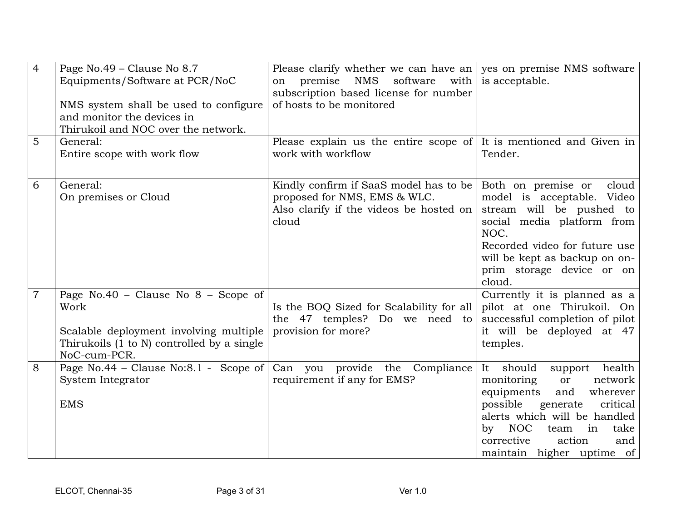| $\overline{4}$ | Page No.49 - Clause No 8.7<br>Equipments/Software at PCR/NoC<br>NMS system shall be used to configure<br>and monitor the devices in<br>Thirukoil and NOC over the network. | Please clarify whether we can have an ves on premise NMS software<br>premise NMS<br>software with is acceptable.<br>on<br>subscription based license for number<br>of hosts to be monitored |                                                                                                                                                                                                                                                                |
|----------------|----------------------------------------------------------------------------------------------------------------------------------------------------------------------------|---------------------------------------------------------------------------------------------------------------------------------------------------------------------------------------------|----------------------------------------------------------------------------------------------------------------------------------------------------------------------------------------------------------------------------------------------------------------|
| 5              | General:<br>Entire scope with work flow                                                                                                                                    | Please explain us the entire scope of $ $ It is mentioned and Given in<br>work with workflow                                                                                                | Tender.                                                                                                                                                                                                                                                        |
| 6              | General:<br>On premises or Cloud                                                                                                                                           | Kindly confirm if SaaS model has to be<br>proposed for NMS, EMS & WLC.<br>Also clarify if the videos be hosted on<br>cloud                                                                  | Both on premise or<br>cloud<br>model is acceptable. Video<br>stream will be pushed to<br>social media platform from<br>NOC.<br>Recorded video for future use<br>will be kept as backup on on-<br>prim storage device or on<br>cloud.                           |
| $\overline{7}$ | Page No.40 - Clause No 8 - Scope of<br>Work<br>Scalable deployment involving multiple<br>Thirukoils (1 to N) controlled by a single<br>NoC-cum-PCR.                        | Is the BOQ Sized for Scalability for all<br>the 47 temples? Do we need to<br>provision for more?                                                                                            | Currently it is planned as a<br>pilot at one Thirukoil. On<br>successful completion of pilot<br>it will be deployed at 47<br>temples.                                                                                                                          |
| 8              | Page No.44 - Clause No:8.1 - Scope of<br>System Integrator<br><b>EMS</b>                                                                                                   | Can you provide the Compliance<br>requirement if any for EMS?                                                                                                                               | It should<br>health<br>support<br>monitoring<br>network<br>or<br>wherever<br>equipments<br>and<br>generate<br>critical<br>possible<br>alerts which will be handled<br>by NOC<br>in<br>take<br>team<br>action<br>corrective<br>and<br>maintain higher uptime of |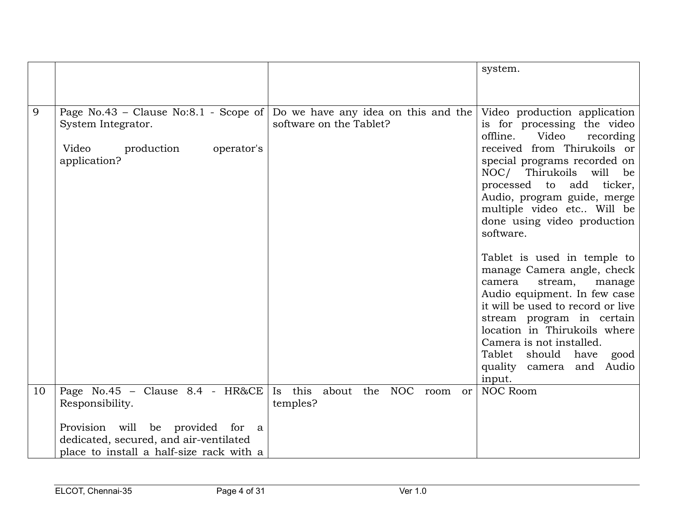|    |                                                                                                                        |                                                                                             | system.                                                                                                                                                                                                                                                                                                                          |
|----|------------------------------------------------------------------------------------------------------------------------|---------------------------------------------------------------------------------------------|----------------------------------------------------------------------------------------------------------------------------------------------------------------------------------------------------------------------------------------------------------------------------------------------------------------------------------|
|    |                                                                                                                        |                                                                                             |                                                                                                                                                                                                                                                                                                                                  |
|    |                                                                                                                        |                                                                                             |                                                                                                                                                                                                                                                                                                                                  |
| 9  | Page No.43 – Clause No:8.1 - Scope of<br>System Integrator.<br>Video<br>production<br>operator's<br>application?       | Do we have any idea on this and the Video production application<br>software on the Tablet? | is for processing the video<br>offline.<br>Video<br>recording<br>received from Thirukoils or<br>special programs recorded on<br>NOC/ Thirukoils will<br>be<br>processed to add ticker,<br>Audio, program guide, merge<br>multiple video etc Will be<br>done using video production<br>software.                                  |
|    |                                                                                                                        |                                                                                             | Tablet is used in temple to<br>manage Camera angle, check<br>camera<br>stream,<br>manage<br>Audio equipment. In few case<br>it will be used to record or live<br>stream program in certain<br>location in Thirukoils where<br>Camera is not installed.<br>Tablet<br>should<br>have<br>good<br>quality camera and Audio<br>input. |
| 10 | Page No.45 - Clause 8.4 - HR&CE                                                                                        | Is this about<br><b>NOC</b><br>the<br>room<br>or                                            | <b>NOC Room</b>                                                                                                                                                                                                                                                                                                                  |
|    | Responsibility.                                                                                                        | temples?                                                                                    |                                                                                                                                                                                                                                                                                                                                  |
|    | Provision will be provided for a<br>dedicated, secured, and air-ventilated<br>place to install a half-size rack with a |                                                                                             |                                                                                                                                                                                                                                                                                                                                  |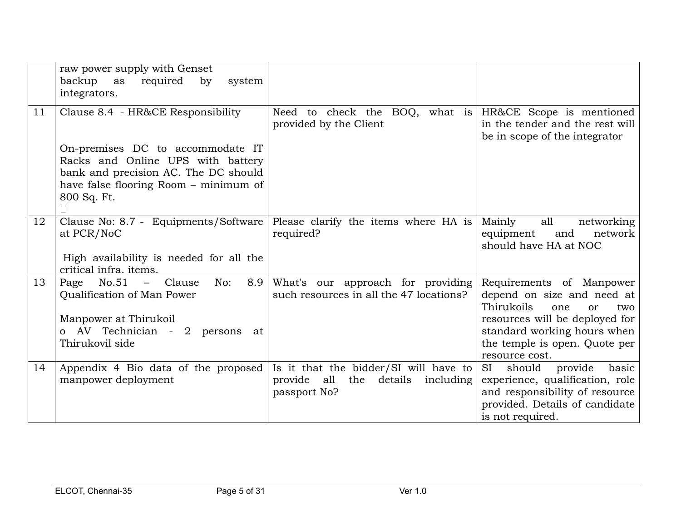|    | raw power supply with Genset<br>backup<br>required<br>as<br>by<br>system<br>integrators.                                                                              |                                                                                                  |                                                                                                                                                                                                                         |
|----|-----------------------------------------------------------------------------------------------------------------------------------------------------------------------|--------------------------------------------------------------------------------------------------|-------------------------------------------------------------------------------------------------------------------------------------------------------------------------------------------------------------------------|
| 11 | Clause 8.4 - HR&CE Responsibility                                                                                                                                     | Need to check the BOQ, what is $HR&CE$ Scope is mentioned<br>provided by the Client              | in the tender and the rest will<br>be in scope of the integrator                                                                                                                                                        |
|    | On-premises DC to accommodate IT<br>Racks and Online UPS with battery<br>bank and precision AC. The DC should<br>have false flooring Room - minimum of<br>800 Sq. Ft. |                                                                                                  |                                                                                                                                                                                                                         |
| 12 | Clause No: 8.7 - Equipments/Software<br>at PCR/NoC<br>High availability is needed for all the<br>critical infra. items.                                               | Please clarify the items where HA is<br>required?                                                | Mainly<br>all<br>networking<br>network<br>equipment<br>and<br>should have HA at NOC                                                                                                                                     |
| 13 | Page No.51<br>Clause<br>8.9<br>No:<br>$\frac{1}{2}$<br>Qualification of Man Power<br>Manpower at Thirukoil<br>o AV Technician - 2 persons at<br>Thirukovil side       | What's our approach for providing<br>such resources in all the 47 locations?                     | Requirements of Manpower<br>depend on size and need at<br>Thirukoils<br>one<br>two<br><sub>or</sub><br>resources will be deployed for<br>standard working hours when<br>the temple is open. Quote per<br>resource cost. |
| 14 | Appendix 4 Bio data of the proposed<br>manpower deployment                                                                                                            | Is it that the bidder/SI will have to<br>provide all<br>the details<br>including<br>passport No? | should provide<br>basic<br>SI<br>experience, qualification, role<br>and responsibility of resource<br>provided. Details of candidate<br>is not required.                                                                |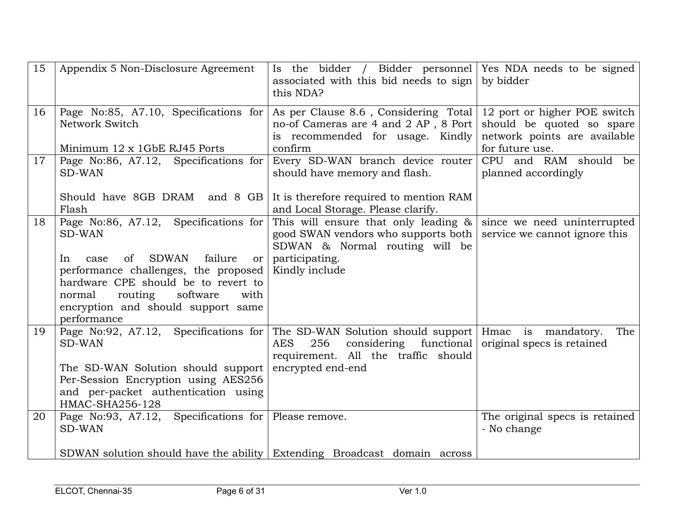| 15 | Appendix 5 Non-Disclosure Agreement                                                                                                                                                                                                                                                      | Is the bidder / Bidder personnel Yes NDA needs to be signed<br>associated with this bid needs to sign by bidder<br>this NDA?                                                                           |                                                                              |
|----|------------------------------------------------------------------------------------------------------------------------------------------------------------------------------------------------------------------------------------------------------------------------------------------|--------------------------------------------------------------------------------------------------------------------------------------------------------------------------------------------------------|------------------------------------------------------------------------------|
| 16 | Page No:85, A7.10, Specifications for<br>Network Switch<br>Minimum 12 x 1GbE RJ45 Ports                                                                                                                                                                                                  | As per Clause 8.6, Considering Total   12 port or higher POE switch<br>no-of Cameras are 4 and 2 AP, 8 Port<br>is recommended for usage. Kindly<br>confirm                                             | should be quoted so spare<br>network points are available<br>for future use. |
| 17 | Page No:86, A7.12, Specifications for<br><b>SD-WAN</b>                                                                                                                                                                                                                                   | Every SD-WAN branch device router<br>should have memory and flash.                                                                                                                                     | CPU and RAM should be<br>planned accordingly                                 |
|    | Should have 8GB DRAM and 8 GB<br>Flash                                                                                                                                                                                                                                                   | It is therefore required to mention RAM<br>and Local Storage. Please clarify.                                                                                                                          |                                                                              |
| 18 | Page No:86, A7.12, Specifications for<br><b>SD-WAN</b><br><b>SDWAN</b><br>failure<br>of<br>In<br>case<br>or<br>performance challenges, the proposed<br>hardware CPE should be to revert to<br>routing<br>software<br>normal<br>with<br>encryption and should support same<br>performance | This will ensure that only leading $\&$<br>good SWAN vendors who supports both<br>SDWAN & Normal routing will be<br>participating.<br>Kindly include                                                   | since we need uninterrupted<br>service we cannot ignore this                 |
| 19 | <b>SD-WAN</b><br>The SD-WAN Solution should support<br>Per-Session Encryption using AES256<br>and per-packet authentication using<br>HMAC-SHA256-128                                                                                                                                     | Page No:92, A7.12, Specifications for The SD-WAN Solution should support Hmac is mandatory.<br><b>AES</b><br>256<br>considering functional<br>requirement. All the traffic should<br>encrypted end-end | The<br>original specs is retained                                            |
| 20 | Page No:93, A7.12, Specifications for Please remove.<br><b>SD-WAN</b>                                                                                                                                                                                                                    |                                                                                                                                                                                                        | The original specs is retained<br>- No change                                |
|    | SDWAN solution should have the ability Extending Broadcast domain across                                                                                                                                                                                                                 |                                                                                                                                                                                                        |                                                                              |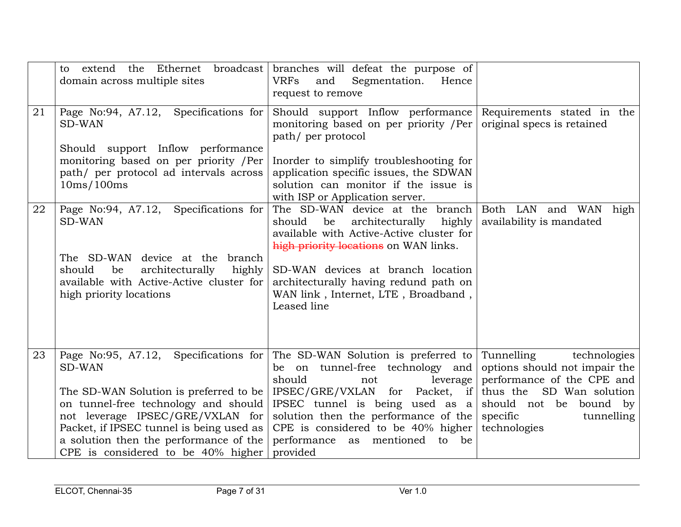|    | to<br>domain across multiple sites                                                                                                                                                                                                                                                                                                                                                              | extend the Ethernet broadcast branches will defeat the purpose of<br><b>VRFs</b><br>Segmentation.<br>and<br>Hence<br>request to remove                                                                                                                                                                |                                                                                                                                                                                |
|----|-------------------------------------------------------------------------------------------------------------------------------------------------------------------------------------------------------------------------------------------------------------------------------------------------------------------------------------------------------------------------------------------------|-------------------------------------------------------------------------------------------------------------------------------------------------------------------------------------------------------------------------------------------------------------------------------------------------------|--------------------------------------------------------------------------------------------------------------------------------------------------------------------------------|
| 21 | Page No:94, A7.12, Specifications for<br><b>SD-WAN</b><br>Should support Inflow performance<br>monitoring based on per priority /Per<br>path/ per protocol ad intervals across<br>10ms/100ms                                                                                                                                                                                                    | Should support Inflow performance<br>monitoring based on per priority /Per<br>path/ per protocol<br>Inorder to simplify troubleshooting for<br>application specific issues, the SDWAN<br>solution can monitor if the issue is<br>with ISP or Application server.                                      | Requirements stated in the<br>original specs is retained                                                                                                                       |
| 22 | Page No:94, A7.12, Specifications for<br><b>SD-WAN</b><br>The SD-WAN device at the branch<br>should<br>architecturally<br>be<br>highly<br>available with Active-Active cluster for<br>high priority locations                                                                                                                                                                                   | The SD-WAN device at the branch<br>should<br>be<br>architecturally<br>highly<br>available with Active-Active cluster for<br>high priority locations on WAN links.<br>SD-WAN devices at branch location<br>architecturally having redund path on<br>WAN link, Internet, LTE, Broadband,<br>Leased line | Both LAN and WAN<br>high<br>availability is mandated                                                                                                                           |
| 23 | Page No:95, A7.12, Specifications for The SD-WAN Solution is preferred to Tunnelling<br><b>SD-WAN</b><br>The SD-WAN Solution is preferred to be<br>on tunnel-free technology and should<br>not leverage IPSEC/GRE/VXLAN for solution then the performance of the<br>Packet, if IPSEC tunnel is being used as<br>a solution then the performance of the<br>CPE is considered to be $40\%$ higher | be on tunnel-free technology and<br>should<br>leverage<br>not<br>$IPSEC/GRE/VXLAN$ for Packet, if<br>IPSEC tunnel is being used as a<br>CPE is considered to be 40% higher<br>performance as mentioned to be<br>provided                                                                              | technologies<br>options should not impair the<br>performance of the CPE and<br>SD Wan solution<br>thus the<br>should not be bound by<br>specific<br>tunnelling<br>technologies |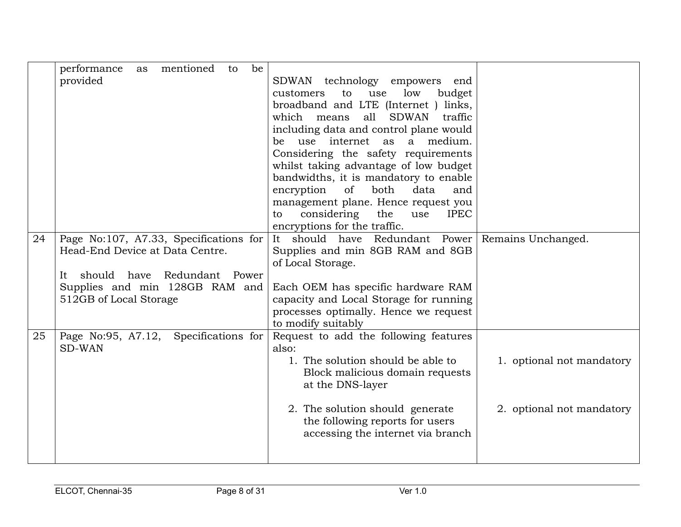|    | mentioned<br>performance<br>be<br>to<br>as |                                                     |                           |
|----|--------------------------------------------|-----------------------------------------------------|---------------------------|
|    | provided                                   | SDWAN technology empowers<br>end                    |                           |
|    |                                            | low<br>to<br>use<br>budget<br>customers             |                           |
|    |                                            | broadband and LTE (Internet ) links,                |                           |
|    |                                            | <b>SDWAN</b>                                        |                           |
|    |                                            | all<br>traffic<br>which means                       |                           |
|    |                                            | including data and control plane would              |                           |
|    |                                            | be use internet as<br>a medium.                     |                           |
|    |                                            | Considering the safety requirements                 |                           |
|    |                                            | whilst taking advantage of low budget               |                           |
|    |                                            | bandwidths, it is mandatory to enable               |                           |
|    |                                            | of<br>both<br>encryption<br>data<br>and             |                           |
|    |                                            | management plane. Hence request you                 |                           |
|    |                                            | considering<br>the<br><b>IPEC</b><br>use<br>to      |                           |
|    |                                            | encryptions for the traffic.                        |                           |
| 24 | Page No:107, A7.33, Specifications for     | It should have Redundant Power   Remains Unchanged. |                           |
|    | Head-End Device at Data Centre.            | Supplies and min 8GB RAM and 8GB                    |                           |
|    |                                            | of Local Storage.                                   |                           |
|    | should have<br>Redundant Power<br>It       |                                                     |                           |
|    | Supplies and min 128GB RAM and             | Each OEM has specific hardware RAM                  |                           |
|    | 512GB of Local Storage                     | capacity and Local Storage for running              |                           |
|    |                                            | processes optimally. Hence we request               |                           |
|    |                                            | to modify suitably                                  |                           |
| 25 | Specifications for<br>Page No:95, A7.12,   | Request to add the following features               |                           |
|    | <b>SD-WAN</b>                              | also:                                               |                           |
|    |                                            | 1. The solution should be able to                   | 1. optional not mandatory |
|    |                                            | Block malicious domain requests                     |                           |
|    |                                            | at the DNS-layer                                    |                           |
|    |                                            |                                                     |                           |
|    |                                            | 2. The solution should generate                     | 2. optional not mandatory |
|    |                                            | the following reports for users                     |                           |
|    |                                            | accessing the internet via branch                   |                           |
|    |                                            |                                                     |                           |
|    |                                            |                                                     |                           |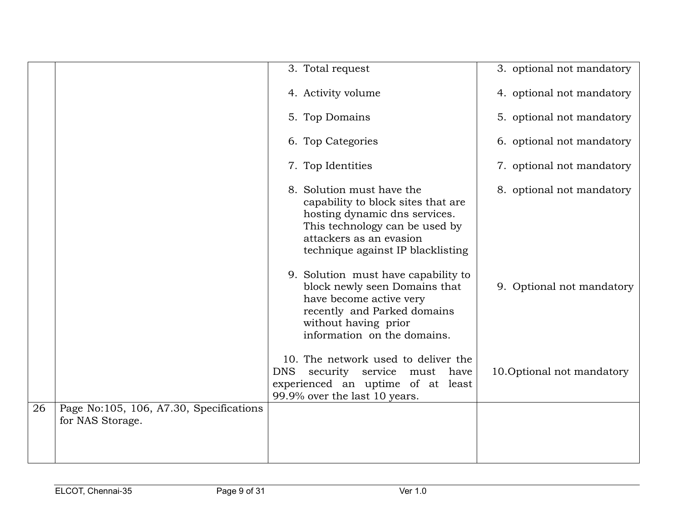|    |                                                             | 3. Total request                                                                                                                                                                                   | 3. optional not mandatory |
|----|-------------------------------------------------------------|----------------------------------------------------------------------------------------------------------------------------------------------------------------------------------------------------|---------------------------|
|    |                                                             | 4. Activity volume                                                                                                                                                                                 | 4. optional not mandatory |
|    |                                                             | 5. Top Domains                                                                                                                                                                                     | 5. optional not mandatory |
|    |                                                             | 6. Top Categories                                                                                                                                                                                  | 6. optional not mandatory |
|    |                                                             | 7. Top Identities                                                                                                                                                                                  | 7. optional not mandatory |
|    |                                                             | 8. Solution must have the<br>capability to block sites that are<br>hosting dynamic dns services.<br>This technology can be used by<br>attackers as an evasion<br>technique against IP blacklisting | 8. optional not mandatory |
|    |                                                             | 9. Solution must have capability to<br>block newly seen Domains that<br>have become active very<br>recently and Parked domains<br>without having prior<br>information on the domains.              | 9. Optional not mandatory |
|    |                                                             | 10. The network used to deliver the<br><b>DNS</b><br>security service must have<br>experienced an uptime of at least<br>99.9% over the last 10 years.                                              | 10.Optional not mandatory |
| 26 | Page No:105, 106, A7.30, Specifications<br>for NAS Storage. |                                                                                                                                                                                                    |                           |
|    |                                                             |                                                                                                                                                                                                    |                           |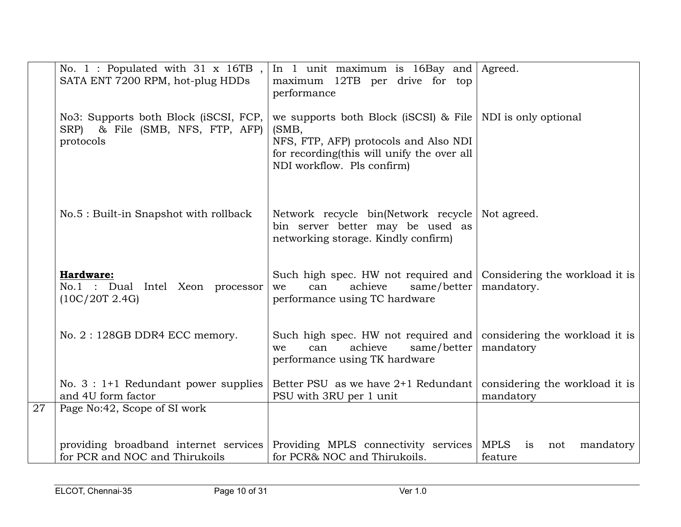|    | No. 1 : Populated with $31 \times 16TB$ ,<br>SATA ENT 7200 RPM, hot-plug HDDs                                | In 1 unit maximum is $16Bay$ and Agreed.<br>maximum 12TB per drive for top<br>performance                                                                           |                                                  |
|----|--------------------------------------------------------------------------------------------------------------|---------------------------------------------------------------------------------------------------------------------------------------------------------------------|--------------------------------------------------|
|    | No3: Supports both Block (iSCSI, FCP,<br>SRP) & File (SMB, NFS, FTP, AFP)<br>protocols                       | we supports both Block (iSCSI) & File<br>(SMB,<br>NFS, FTP, AFP) protocols and Also NDI<br>for recording this will unify the over all<br>NDI workflow. Pls confirm) | NDI is only optional                             |
|    | No.5 : Built-in Snapshot with rollback                                                                       | Network recycle bin(Network recycle<br>bin server better may be used as<br>networking storage. Kindly confirm)                                                      | Not agreed.                                      |
|    | Hardware:<br>No.1 : Dual Intel Xeon processor<br>(10C/20T 2.4G)                                              | Such high spec. HW not required and<br>achieve<br>same/better<br>can<br>we<br>performance using TC hardware                                                         | Considering the workload it is<br>mandatory.     |
|    | No. 2: 128GB DDR4 ECC memory.                                                                                | Such high spec. HW not required and<br>achieve<br>can<br>same/better<br>we<br>performance using TK hardware                                                         | considering the workload it is<br>mandatory      |
|    | No. $3:1+1$ Redundant power supplies<br>and 4U form factor                                                   | Better PSU as we have 2+1 Redundant<br>PSU with 3RU per 1 unit                                                                                                      | considering the workload it is<br>mandatory      |
| 27 | Page No:42, Scope of SI work                                                                                 |                                                                                                                                                                     |                                                  |
|    | providing broadband internet services Providing MPLS connectivity services<br>for PCR and NOC and Thirukoils | for PCR& NOC and Thirukoils.                                                                                                                                        | <b>MPLS</b><br>mandatory<br>is<br>not<br>feature |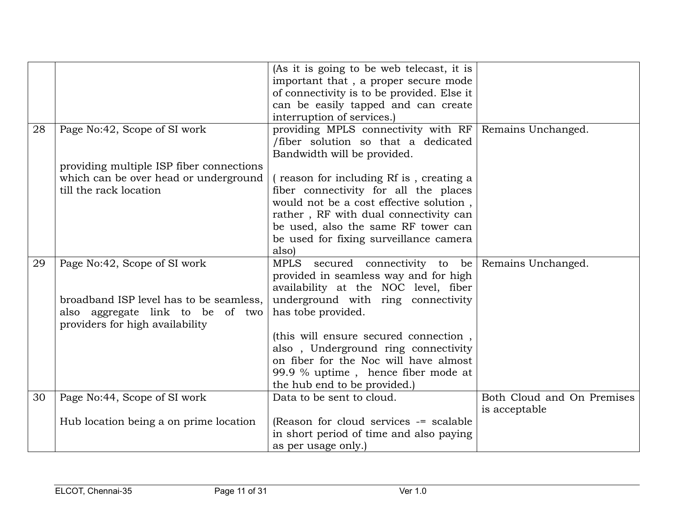|    |                                          | (As it is going to be web telecast, it is          |                            |
|----|------------------------------------------|----------------------------------------------------|----------------------------|
|    |                                          | important that, a proper secure mode               |                            |
|    |                                          | of connectivity is to be provided. Else it         |                            |
|    |                                          | can be easily tapped and can create                |                            |
|    |                                          | interruption of services.)                         |                            |
| 28 | Page No:42, Scope of SI work             | providing MPLS connectivity with RF                | Remains Unchanged.         |
|    |                                          | /fiber solution so that a dedicated                |                            |
|    |                                          | Bandwidth will be provided.                        |                            |
|    | providing multiple ISP fiber connections |                                                    |                            |
|    | which can be over head or underground    | reason for including Rf is, creating a             |                            |
|    | till the rack location                   | fiber connectivity for all the places              |                            |
|    |                                          | would not be a cost effective solution,            |                            |
|    |                                          | rather, RF with dual connectivity can              |                            |
|    |                                          | be used, also the same RF tower can                |                            |
|    |                                          | be used for fixing surveillance camera             |                            |
|    |                                          | also)                                              |                            |
| 29 | Page No:42, Scope of SI work             | MPLS secured connectivity to be Remains Unchanged. |                            |
|    |                                          | provided in seamless way and for high              |                            |
|    |                                          | availability at the NOC level, fiber               |                            |
|    | broadband ISP level has to be seamless,  | underground with ring connectivity                 |                            |
|    | also aggregate link to be of two         | has tobe provided.                                 |                            |
|    | providers for high availability          |                                                    |                            |
|    |                                          | (this will ensure secured connection,              |                            |
|    |                                          | also, Underground ring connectivity                |                            |
|    |                                          | on fiber for the Noc will have almost              |                            |
|    |                                          | 99.9 % uptime, hence fiber mode at                 |                            |
|    |                                          | the hub end to be provided.)                       |                            |
| 30 | Page No:44, Scope of SI work             | Data to be sent to cloud.                          | Both Cloud and On Premises |
|    |                                          |                                                    | is acceptable              |
|    | Hub location being a on prime location   | (Reason for cloud services -= scalable             |                            |
|    |                                          | in short period of time and also paying            |                            |
|    |                                          | as per usage only.)                                |                            |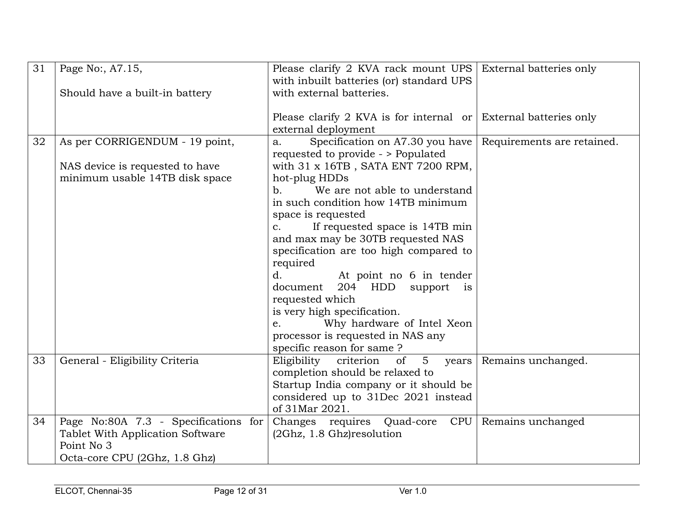| 31 | Page No:, A7.15,                     | Please clarify 2 KVA rack mount UPS External batteries only     |                            |
|----|--------------------------------------|-----------------------------------------------------------------|----------------------------|
|    |                                      | with inbuilt batteries (or) standard UPS                        |                            |
|    | Should have a built-in battery       | with external batteries.                                        |                            |
|    |                                      |                                                                 |                            |
|    |                                      | Please clarify 2 KVA is for internal or External batteries only |                            |
|    |                                      | external deployment                                             |                            |
| 32 | As per CORRIGENDUM - 19 point,       | Specification on A7.30 you have<br>a.                           | Requirements are retained. |
|    |                                      | requested to provide - > Populated                              |                            |
|    | NAS device is requested to have      | with 31 x 16TB, SATA ENT 7200 RPM,                              |                            |
|    | minimum usable 14TB disk space       | hot-plug HDDs                                                   |                            |
|    |                                      | We are not able to understand<br>$b_{\cdot}$                    |                            |
|    |                                      | in such condition how 14TB minimum                              |                            |
|    |                                      | space is requested                                              |                            |
|    |                                      | If requested space is 14TB min<br>$c_{\cdot}$                   |                            |
|    |                                      | and max may be 30TB requested NAS                               |                            |
|    |                                      | specification are too high compared to                          |                            |
|    |                                      | required                                                        |                            |
|    |                                      | $d_{\cdot}$<br>At point no 6 in tender                          |                            |
|    |                                      | 204 HDD<br>support<br>document<br>$\frac{1}{1}$                 |                            |
|    |                                      | requested which                                                 |                            |
|    |                                      | is very high specification.                                     |                            |
|    |                                      | Why hardware of Intel Xeon<br>$e_{i}$                           |                            |
|    |                                      | processor is requested in NAS any                               |                            |
|    |                                      | specific reason for same ?                                      |                            |
| 33 | General - Eligibility Criteria       | Eligibility<br>5 <sup>5</sup><br>criterion<br>of<br>years       | Remains unchanged.         |
|    |                                      | completion should be relaxed to                                 |                            |
|    |                                      | Startup India company or it should be                           |                            |
|    |                                      | considered up to 31Dec 2021 instead                             |                            |
|    |                                      | of 31Mar 2021.                                                  |                            |
| 34 | Page No:80A 7.3 - Specifications for | Changes requires Quad-core<br>CPU                               | Remains unchanged          |
|    | Tablet With Application Software     | (2Ghz, 1.8 Ghz) resolution                                      |                            |
|    | Point No 3                           |                                                                 |                            |
|    | Octa-core CPU (2Ghz, 1.8 Ghz)        |                                                                 |                            |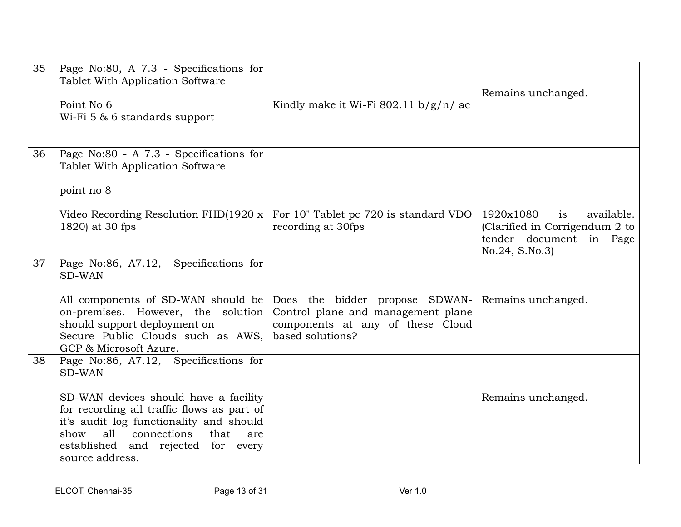| 35 | Page No:80, A 7.3 - Specifications for<br>Tablet With Application Software<br>Point No 6<br>Wi-Fi 5 & 6 standards support                                                                                                         | Kindly make it Wi-Fi 802.11 $b/g/n/ac$                                                                                       | Remains unchanged.                                                                                           |
|----|-----------------------------------------------------------------------------------------------------------------------------------------------------------------------------------------------------------------------------------|------------------------------------------------------------------------------------------------------------------------------|--------------------------------------------------------------------------------------------------------------|
| 36 | Page No:80 - A 7.3 - Specifications for<br>Tablet With Application Software<br>point no 8                                                                                                                                         |                                                                                                                              |                                                                                                              |
|    | Video Recording Resolution FHD $(1920 \times$<br>1820) at 30 fps                                                                                                                                                                  | For 10" Tablet pc 720 is standard VDO<br>recording at 30fps                                                                  | 1920x1080<br>available.<br>is<br>(Clarified in Corrigendum 2 to<br>tender document in Page<br>No.24, S.No.3) |
| 37 | Page No:86, A7.12, Specifications for<br><b>SD-WAN</b>                                                                                                                                                                            |                                                                                                                              |                                                                                                              |
|    | All components of SD-WAN should be<br>on-premises. However, the solution<br>should support deployment on<br>Secure Public Clouds such as AWS,<br>GCP & Microsoft Azure.                                                           | Does the bidder propose SDWAN-<br>Control plane and management plane<br>components at any of these Cloud<br>based solutions? | Remains unchanged.                                                                                           |
| 38 | Page No:86, A7.12, Specifications for<br><b>SD-WAN</b>                                                                                                                                                                            |                                                                                                                              |                                                                                                              |
|    | SD-WAN devices should have a facility<br>for recording all traffic flows as part of<br>it's audit log functionality and should<br>all connections<br>that<br>show<br>are<br>established and rejected for every<br>source address. |                                                                                                                              | Remains unchanged.                                                                                           |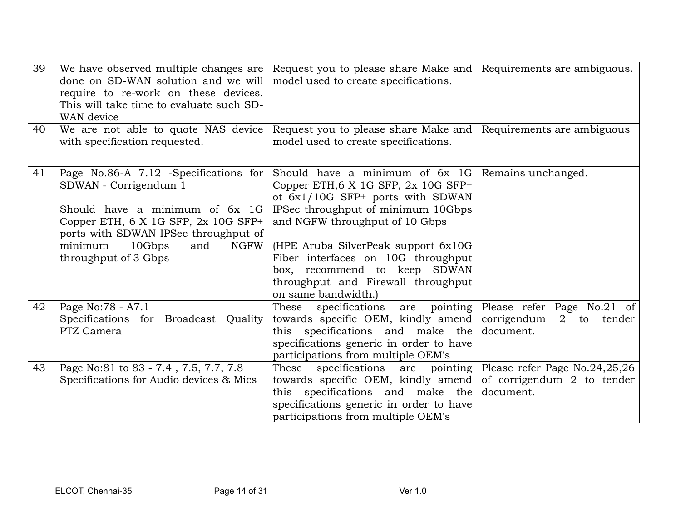| 39 | We have observed multiple changes are<br>done on SD-WAN solution and we will<br>require to re-work on these devices.<br>This will take time to evaluate such SD-<br>WAN device                                                              | Request you to please share Make and<br>model used to create specifications.                                                                                                                                                                                                                                                                                                     | Requirements are ambiguous.                                                             |
|----|---------------------------------------------------------------------------------------------------------------------------------------------------------------------------------------------------------------------------------------------|----------------------------------------------------------------------------------------------------------------------------------------------------------------------------------------------------------------------------------------------------------------------------------------------------------------------------------------------------------------------------------|-----------------------------------------------------------------------------------------|
| 40 | We are not able to quote NAS device<br>with specification requested.                                                                                                                                                                        | Request you to please share Make and<br>model used to create specifications.                                                                                                                                                                                                                                                                                                     | Requirements are ambiguous                                                              |
| 41 | Page No.86-A 7.12 -Specifications for<br>SDWAN - Corrigendum 1<br>Should have a minimum of 6x 1G<br>Copper ETH, 6 X 1G SFP, 2x 10G SFP+<br>ports with SDWAN IPSec throughput of<br>minimum<br>10Gbps<br>and<br>NGFW<br>throughput of 3 Gbps | Should have a minimum of $6x$ 1G Remains unchanged.<br>Copper ETH, 6 X 1G SFP, 2x 10G SFP+<br>ot 6x1/10G SFP+ ports with SDWAN<br>IPSec throughput of minimum 10Gbps<br>and NGFW throughput of 10 Gbps<br>(HPE Aruba SilverPeak support 6x10G<br>Fiber interfaces on 10G throughput<br>box, recommend to keep SDWAN<br>throughput and Firewall throughput<br>on same bandwidth.) |                                                                                         |
| 42 | Page No:78 - A7.1<br>Specifications for Broadcast Quality<br>PTZ Camera                                                                                                                                                                     | specifications are pointing Please refer Page No.21 of<br>These<br>towards specific OEM, kindly amend<br>this specifications and make the<br>specifications generic in order to have<br>participations from multiple OEM's                                                                                                                                                       | corrigendum 2 to tender<br>document.                                                    |
| 43 | Page No:81 to 83 - 7.4, 7.5, 7.7, 7.8<br>Specifications for Audio devices & Mics                                                                                                                                                            | These<br>specifications<br>towards specific OEM, kindly amend<br>this specifications and make the<br>specifications generic in order to have<br>participations from multiple OEM's                                                                                                                                                                                               | are pointing   Please refer Page No.24,25,26<br>of corrigendum 2 to tender<br>document. |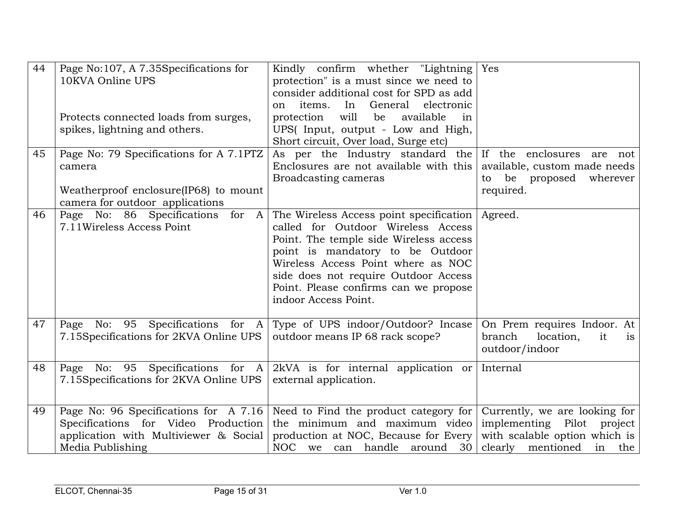| 44<br>45 | Page No:107, A 7.35Specifications for<br>10KVA Online UPS<br>Protects connected loads from surges,<br>spikes, lightning and others.       | Kindly confirm whether "Lightning Yes"<br>protection" is a must since we need to<br>consider additional cost for SPD as add<br>General<br>electronic<br>items.<br>In<br><sub>on</sub><br>will<br>protection<br>be<br>available<br>in<br>UPS(Input, output - Low and High,<br>Short circuit, Over load, Surge etc)    |                                                                                                                             |
|----------|-------------------------------------------------------------------------------------------------------------------------------------------|----------------------------------------------------------------------------------------------------------------------------------------------------------------------------------------------------------------------------------------------------------------------------------------------------------------------|-----------------------------------------------------------------------------------------------------------------------------|
|          | Page No: 79 Specifications for A 7.1PTZ<br>camera<br>Weatherproof enclosure(IP68) to mount<br>camera for outdoor applications             | As per the Industry standard the If the enclosures are not<br>Enclosures are not available with this   available, custom made needs<br>Broadcasting cameras                                                                                                                                                          | be proposed wherever<br>to<br>required.                                                                                     |
| 46       | Page No: 86 Specifications<br>for A<br>7.11 Wireless Access Point                                                                         | The Wireless Access point specification   Agreed.<br>called for Outdoor Wireless Access<br>Point. The temple side Wireless access<br>point is mandatory to be Outdoor<br>Wireless Access Point where as NOC<br>side does not require Outdoor Access<br>Point. Please confirms can we propose<br>indoor Access Point. |                                                                                                                             |
| 47       | Page No: 95 Specifications for A<br>7.15Specifications for 2KVA Online UPS                                                                | Type of UPS indoor/Outdoor? Incase<br>outdoor means IP 68 rack scope?                                                                                                                                                                                                                                                | On Prem requires Indoor. At<br>branch<br>location,<br>it<br>is<br>outdoor/indoor                                            |
| 48       | No: 95 Specifications for A<br>Page<br>7.15Specifications for 2KVA Online UPS                                                             | $2kVA$ is for internal application or Internal<br>external application.                                                                                                                                                                                                                                              |                                                                                                                             |
| 49       | Page No: 96 Specifications for A 7.16<br>Specifications for Video Production<br>application with Multiviewer & Social<br>Media Publishing | Need to Find the product category for<br>the minimum and maximum video<br>production at NOC, Because for Every<br>NOC we can handle around 30                                                                                                                                                                        | Currently, we are looking for<br>implementing Pilot project<br>with scalable option which is<br>clearly mentioned<br>in the |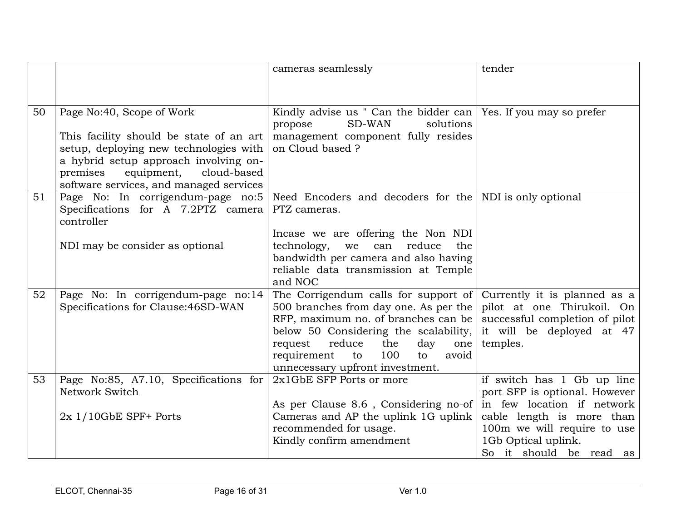|    |                                                                                       | cameras seamlessly                                                                                  | tender                                                       |
|----|---------------------------------------------------------------------------------------|-----------------------------------------------------------------------------------------------------|--------------------------------------------------------------|
|    |                                                                                       |                                                                                                     |                                                              |
|    |                                                                                       |                                                                                                     |                                                              |
| 50 | Page No:40, Scope of Work                                                             | Kindly advise us " Can the bidder can   Yes. If you may so prefer<br>SD-WAN<br>solutions<br>propose |                                                              |
|    | This facility should be state of an art                                               | management component fully resides                                                                  |                                                              |
|    | setup, deploying new technologies with                                                | on Cloud based ?                                                                                    |                                                              |
|    | a hybrid setup approach involving on-                                                 |                                                                                                     |                                                              |
|    | equipment,<br>premises<br>cloud-based                                                 |                                                                                                     |                                                              |
|    | software services, and managed services                                               |                                                                                                     |                                                              |
| 51 | Page No: In corrigendum-page no:5<br>Specifications for A 7.2PTZ camera<br>controller | Need Encoders and decoders for the NDI is only optional<br>PTZ cameras.                             |                                                              |
|    |                                                                                       | Incase we are offering the Non NDI                                                                  |                                                              |
|    | NDI may be consider as optional                                                       | technology,<br>reduce<br>we<br>can<br>the                                                           |                                                              |
|    |                                                                                       | bandwidth per camera and also having                                                                |                                                              |
|    |                                                                                       | reliable data transmission at Temple                                                                |                                                              |
|    |                                                                                       | and NOC                                                                                             |                                                              |
| 52 | Page No: In corrigendum-page no:14                                                    | The Corrigendum calls for support of Currently it is planned as a                                   |                                                              |
|    | Specifications for Clause: 46SD-WAN                                                   | 500 branches from day one. As per the<br>RFP, maximum no. of branches can be                        | pilot at one Thirukoil. On<br>successful completion of pilot |
|    |                                                                                       | below 50 Considering the scalability,                                                               | it will be deployed at 47                                    |
|    |                                                                                       | reduce<br>request<br>the<br>day<br>one                                                              | temples.                                                     |
|    |                                                                                       | requirement<br>100<br>avoid<br>to<br>to                                                             |                                                              |
|    |                                                                                       | unnecessary upfront investment.                                                                     |                                                              |
| 53 | Page No:85, A7.10, Specifications for                                                 | 2x1GbE SFP Ports or more                                                                            | if switch has 1 Gb up line                                   |
|    | Network Switch                                                                        |                                                                                                     | port SFP is optional. However                                |
|    |                                                                                       | As per Clause 8.6, Considering no-of                                                                | in few location if network                                   |
|    | $2x$ 1/10GbE SPF+ Ports                                                               | Cameras and AP the uplink 1G uplink                                                                 | cable length is more than                                    |
|    |                                                                                       | recommended for usage.                                                                              | 100m we will require to use                                  |
|    |                                                                                       | Kindly confirm amendment                                                                            | 1Gb Optical uplink.                                          |
|    |                                                                                       |                                                                                                     | So it should be read as                                      |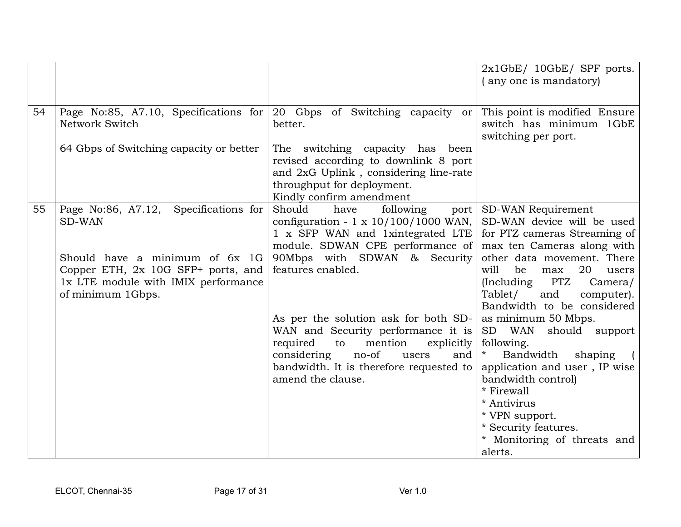|    |                                                                                                                                  |                                                                                                                                                                            | $2x1GbE/10GbE/$ SPF ports.<br>(any one is mandatory)                                                                                                                |
|----|----------------------------------------------------------------------------------------------------------------------------------|----------------------------------------------------------------------------------------------------------------------------------------------------------------------------|---------------------------------------------------------------------------------------------------------------------------------------------------------------------|
| 54 | Page No:85, A7.10, Specifications for<br>Network Switch                                                                          | 20 Gbps of Switching capacity or<br>better.                                                                                                                                | This point is modified Ensure<br>switch has minimum 1GbE<br>switching per port.                                                                                     |
|    | 64 Gbps of Switching capacity or better                                                                                          | The switching capacity has been<br>revised according to downlink 8 port<br>and 2xG Uplink, considering line-rate<br>throughput for deployment.<br>Kindly confirm amendment |                                                                                                                                                                     |
| 55 | Specifications for<br>Page No:86, A7.12,<br>SD-WAN                                                                               | Should<br>have<br>following<br>port<br>configuration - $1 \times 10/100/1000$ WAN,<br>1 x SFP WAN and 1xintegrated LTE<br>module. SDWAN CPE performance of                 | SD-WAN Requirement<br>SD-WAN device will be used<br>for PTZ cameras Streaming of<br>max ten Cameras along with                                                      |
|    | Should have a minimum of 6x 1G<br>Copper ETH, 2x 10G SFP+ ports, and<br>1x LTE module with IMIX performance<br>of minimum 1Gbps. | 90Mbps with SDWAN & Security<br>features enabled.                                                                                                                          | other data movement. There<br>be<br>will<br>20<br>max<br>users<br><b>PTZ</b><br>(Including<br>Camera/<br>Tablet/<br>and<br>computer).<br>Bandwidth to be considered |
|    |                                                                                                                                  | As per the solution ask for both SD-<br>WAN and Security performance it is<br>required<br>to<br>mention<br>explicitly                                                      | as minimum 50 Mbps.<br>SD WAN<br>should support<br>following.                                                                                                       |
|    |                                                                                                                                  | no-of<br>considering<br>users<br>and<br>bandwidth. It is therefore requested to<br>amend the clause.                                                                       | $\ast$<br>Bandwidth<br>shaping<br>application and user, IP wise<br>bandwidth control)<br>* Firewall                                                                 |
|    |                                                                                                                                  |                                                                                                                                                                            | * Antivirus<br>* VPN support.<br>* Security features.<br>* Monitoring of threats and<br>alerts.                                                                     |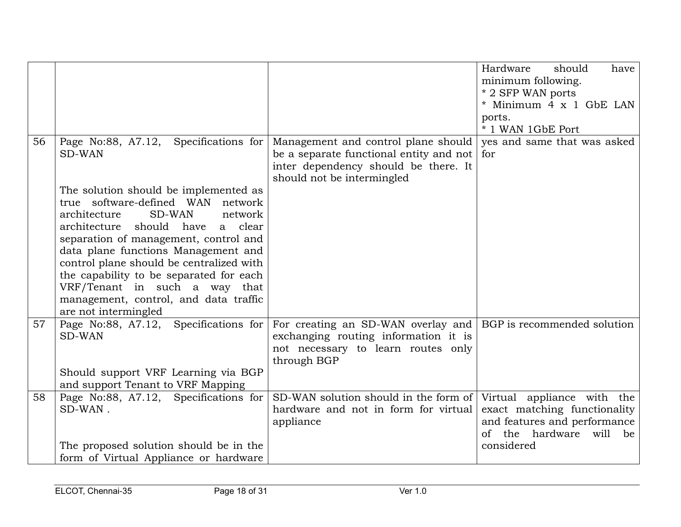|    |                                                                                                                                                                                                                                                                                                                                                                                                                                                                                                     |                                                                                                                                                                  | Hardware<br>should<br>have<br>minimum following.<br>* 2 SFP WAN ports<br>* Minimum 4 x 1 GbE LAN<br>ports.<br>* 1 WAN 1GbE Port        |
|----|-----------------------------------------------------------------------------------------------------------------------------------------------------------------------------------------------------------------------------------------------------------------------------------------------------------------------------------------------------------------------------------------------------------------------------------------------------------------------------------------------------|------------------------------------------------------------------------------------------------------------------------------------------------------------------|----------------------------------------------------------------------------------------------------------------------------------------|
| 56 | Page No:88, A7.12, Specifications for<br><b>SD-WAN</b><br>The solution should be implemented as<br>true software-defined WAN<br>network<br>architecture<br><b>SD-WAN</b><br>network<br>architecture should have<br>a clear<br>separation of management, control and<br>data plane functions Management and<br>control plane should be centralized with<br>the capability to be separated for each<br>VRF/Tenant in such a way that<br>management, control, and data traffic<br>are not intermingled | Management and control plane should<br>be a separate functional entity and not $\vert$ for<br>inter dependency should be there. It<br>should not be intermingled | yes and same that was asked                                                                                                            |
| 57 | Specifications for<br>Page No:88, A7.12,<br><b>SD-WAN</b><br>Should support VRF Learning via BGP<br>and support Tenant to VRF Mapping                                                                                                                                                                                                                                                                                                                                                               | For creating an SD-WAN overlay and   BGP is recommended solution<br>exchanging routing information it is<br>not necessary to learn routes only<br>through BGP    |                                                                                                                                        |
| 58 | Page No:88, A7.12, Specifications for<br>SD-WAN.<br>The proposed solution should be in the<br>form of Virtual Appliance or hardware                                                                                                                                                                                                                                                                                                                                                                 | SD-WAN solution should in the form of<br>hardware and not in form for virtual<br>appliance                                                                       | Virtual appliance with the<br>exact matching functionality<br>and features and performance<br>of the hardware will<br>be<br>considered |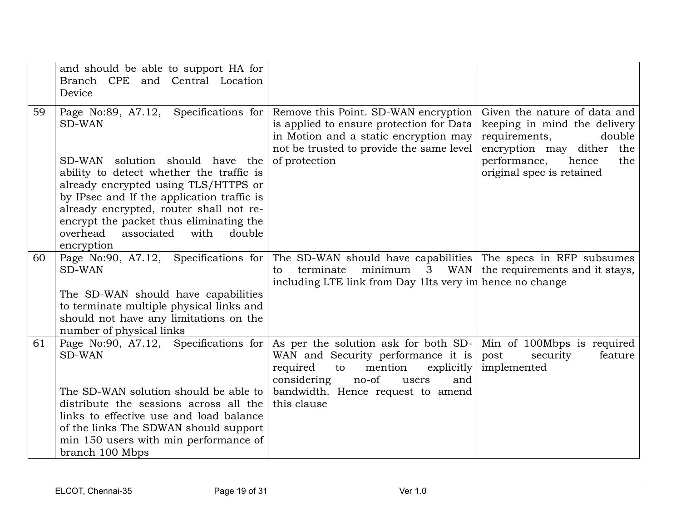|    | and should be able to support HA for<br>Branch CPE and Central Location<br>Device                                                                                                                                                                                                  |                                                                                                                                                                                                                    |                                                                                                                                                      |
|----|------------------------------------------------------------------------------------------------------------------------------------------------------------------------------------------------------------------------------------------------------------------------------------|--------------------------------------------------------------------------------------------------------------------------------------------------------------------------------------------------------------------|------------------------------------------------------------------------------------------------------------------------------------------------------|
| 59 | Page No:89, A7.12, Specifications for<br><b>SD-WAN</b><br>SD-WAN solution should have the                                                                                                                                                                                          | Remove this Point. SD-WAN encryption<br>is applied to ensure protection for Data<br>in Motion and a static encryption may<br>not be trusted to provide the same level<br>of protection                             | Given the nature of data and<br>keeping in mind the delivery<br>requirements,<br>double<br>encryption may dither the<br>performance,<br>hence<br>the |
|    | ability to detect whether the traffic is<br>already encrypted using TLS/HTTPS or<br>by IPsec and If the application traffic is<br>already encrypted, router shall not re-<br>encrypt the packet thus eliminating the<br>overhead<br>associated<br>with<br>double<br>encryption     |                                                                                                                                                                                                                    | original spec is retained                                                                                                                            |
| 60 | Page No:90, A7.12, Specifications for<br><b>SD-WAN</b><br>The SD-WAN should have capabilities<br>to terminate multiple physical links and<br>should not have any limitations on the<br>number of physical links                                                                    | The SD-WAN should have capabilities The specs in RFP subsumes<br>terminate<br>to<br>including LTE link from Day 1 Its very im hence no change                                                                      | minimum $\,$ 3 WAN the requirements and it stays,                                                                                                    |
| 61 | Page No:90, A7.12, Specifications for<br>SD-WAN<br>The SD-WAN solution should be able to<br>distribute the sessions across all the<br>links to effective use and load balance<br>of the links The SDWAN should support<br>min 150 users with min performance of<br>branch 100 Mbps | As per the solution ask for both SD-<br>WAN and Security performance it is<br>required<br>mention<br>$\exp\{t\}$<br>to<br>no-of<br>considering<br>and<br>users<br>bandwidth. Hence request to amend<br>this clause | Min of 100Mbps is required<br>feature<br>security<br>post<br>implemented                                                                             |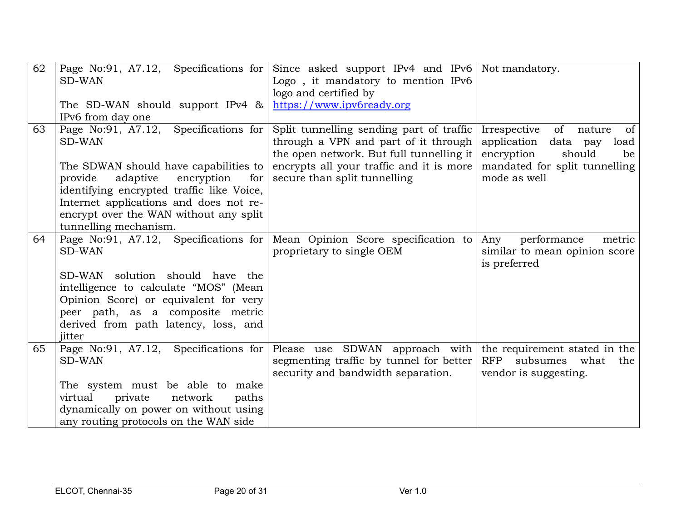| 62 | Page No:91, A7.12, Specifications for<br><b>SD-WAN</b> | Since asked support IPv4 and IPv6 Not mandatory.<br>Logo, it mandatory to mention IPv6                                       |                                                                                                                |
|----|--------------------------------------------------------|------------------------------------------------------------------------------------------------------------------------------|----------------------------------------------------------------------------------------------------------------|
|    |                                                        | logo and certified by                                                                                                        |                                                                                                                |
|    | The SD-WAN should support IPv4 &                       | https://www.ipv6ready.org                                                                                                    |                                                                                                                |
|    | IPv6 from day one                                      |                                                                                                                              |                                                                                                                |
| 63 | Page No:91, A7.12, Specifications for<br>SD-WAN        | Split tunnelling sending part of traffic<br>through a VPN and part of it through<br>the open network. But full tunnelling it | Irrespective<br>of<br><sub>of</sub><br>nature<br>application<br>data pay<br>load<br>encryption<br>should<br>be |
|    | The SDWAN should have capabilities to                  | encrypts all your traffic and it is more                                                                                     | mandated for split tunnelling                                                                                  |
|    | adaptive<br>encryption<br>provide<br>for               | secure than split tunnelling                                                                                                 | mode as well                                                                                                   |
|    | identifying encrypted traffic like Voice,              |                                                                                                                              |                                                                                                                |
|    | Internet applications and does not re-                 |                                                                                                                              |                                                                                                                |
|    | encrypt over the WAN without any split                 |                                                                                                                              |                                                                                                                |
|    | tunnelling mechanism.                                  |                                                                                                                              |                                                                                                                |
| 64 | Page No:91, A7.12, Specifications for<br><b>SD-WAN</b> | Mean Opinion Score specification to<br>proprietary to single OEM                                                             | performance<br>Any<br>metric<br>similar to mean opinion score<br>is preferred                                  |
|    | SD-WAN solution should have the                        |                                                                                                                              |                                                                                                                |
|    | intelligence to calculate "MOS" (Mean                  |                                                                                                                              |                                                                                                                |
|    | Opinion Score) or equivalent for very                  |                                                                                                                              |                                                                                                                |
|    | peer path, as a composite metric                       |                                                                                                                              |                                                                                                                |
|    | derived from path latency, loss, and                   |                                                                                                                              |                                                                                                                |
|    | jitter                                                 |                                                                                                                              |                                                                                                                |
| 65 | Page No:91, A7.12, Specifications for                  | Please use SDWAN approach with                                                                                               | the requirement stated in the                                                                                  |
|    | <b>SD-WAN</b>                                          | segmenting traffic by tunnel for better                                                                                      | RFP subsumes what<br>the                                                                                       |
|    | The system must be able to make                        | security and bandwidth separation.                                                                                           | vendor is suggesting.                                                                                          |
|    | private<br>virtual<br>network<br>paths                 |                                                                                                                              |                                                                                                                |
|    | dynamically on power on without using                  |                                                                                                                              |                                                                                                                |
|    | any routing protocols on the WAN side                  |                                                                                                                              |                                                                                                                |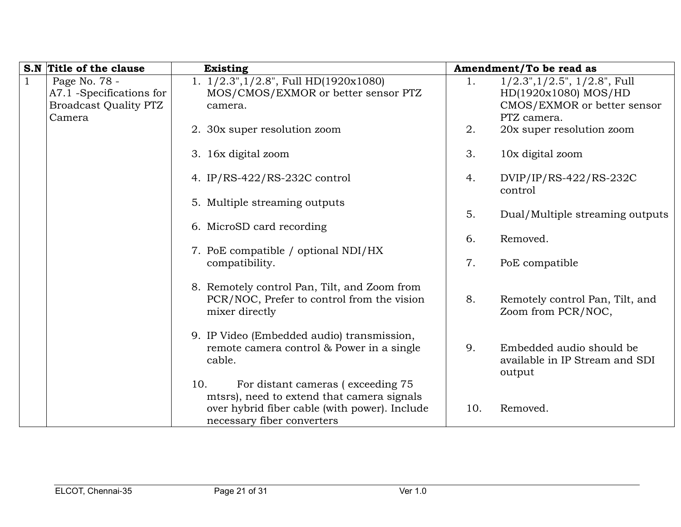|              | S.N Title of the clause      | <b>Existing</b>                                                                                                                                                       |     | Amendment/To be read as                                              |
|--------------|------------------------------|-----------------------------------------------------------------------------------------------------------------------------------------------------------------------|-----|----------------------------------------------------------------------|
| $\mathbf{1}$ | Page No. 78 -                | 1. $1/2.3$ ", $1/2.8$ ", Full HD(1920x1080)                                                                                                                           | 1.  | $1/2.3$ ", $1/2.5$ ", $1/2.8$ ", Full                                |
|              | A7.1 -Specifications for     | MOS/CMOS/EXMOR or better sensor PTZ                                                                                                                                   |     | HD(1920x1080) MOS/HD                                                 |
|              | <b>Broadcast Quality PTZ</b> | camera.                                                                                                                                                               |     | CMOS/EXMOR or better sensor                                          |
|              | Camera                       |                                                                                                                                                                       |     | PTZ camera.                                                          |
|              |                              | 2. 30x super resolution zoom                                                                                                                                          | 2.  | 20x super resolution zoom                                            |
|              |                              | 3. 16x digital zoom                                                                                                                                                   | 3.  | 10x digital zoom                                                     |
|              |                              | 4. IP/RS-422/RS-232C control                                                                                                                                          | 4.  | DVIP/IP/RS-422/RS-232C<br>control                                    |
|              |                              | 5. Multiple streaming outputs                                                                                                                                         |     |                                                                      |
|              |                              |                                                                                                                                                                       | 5.  | Dual/Multiple streaming outputs                                      |
|              |                              | 6. MicroSD card recording                                                                                                                                             |     |                                                                      |
|              |                              |                                                                                                                                                                       | 6.  | Removed.                                                             |
|              |                              | 7. PoE compatible / optional NDI/HX                                                                                                                                   |     |                                                                      |
|              |                              | compatibility.                                                                                                                                                        | 7.  | PoE compatible                                                       |
|              |                              | 8. Remotely control Pan, Tilt, and Zoom from<br>PCR/NOC, Prefer to control from the vision<br>mixer directly                                                          | 8.  | Remotely control Pan, Tilt, and<br>Zoom from PCR/NOC,                |
|              |                              | 9. IP Video (Embedded audio) transmission,<br>remote camera control & Power in a single<br>cable.                                                                     | 9.  | Embedded audio should be<br>available in IP Stream and SDI<br>output |
|              |                              | For distant cameras (exceeding 75<br>10.<br>mtsrs), need to extend that camera signals<br>over hybrid fiber cable (with power). Include<br>necessary fiber converters | 10. | Removed.                                                             |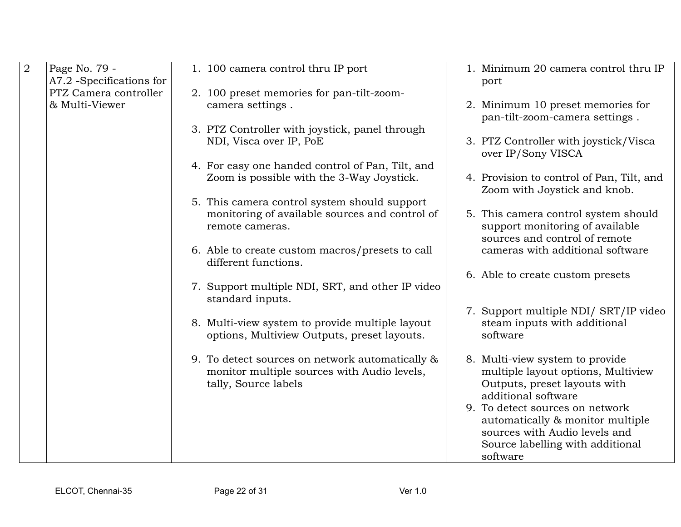| $\overline{2}$ | Page No. 79 -            | 1. 100 camera control thru IP port                                                                                     | 1. Minimum 20 camera control thru IP                                                                  |
|----------------|--------------------------|------------------------------------------------------------------------------------------------------------------------|-------------------------------------------------------------------------------------------------------|
|                | A7.2 -Specifications for |                                                                                                                        | port                                                                                                  |
|                | PTZ Camera controller    | 2. 100 preset memories for pan-tilt-zoom-                                                                              |                                                                                                       |
|                | & Multi-Viewer           | camera settings.                                                                                                       | 2. Minimum 10 preset memories for                                                                     |
|                |                          |                                                                                                                        | pan-tilt-zoom-camera settings.                                                                        |
|                |                          | 3. PTZ Controller with joystick, panel through                                                                         |                                                                                                       |
|                |                          | NDI, Visca over IP, PoE                                                                                                | 3. PTZ Controller with joystick/Visca<br>over IP/Sony VISCA                                           |
|                |                          | 4. For easy one handed control of Pan, Tilt, and                                                                       |                                                                                                       |
|                |                          | Zoom is possible with the 3-Way Joystick.                                                                              | 4. Provision to control of Pan, Tilt, and<br>Zoom with Joystick and knob.                             |
|                |                          | 5. This camera control system should support                                                                           |                                                                                                       |
|                |                          | monitoring of available sources and control of<br>remote cameras.                                                      | 5. This camera control system should<br>support monitoring of available                               |
|                |                          |                                                                                                                        | sources and control of remote                                                                         |
|                |                          | 6. Able to create custom macros/presets to call<br>different functions.                                                | cameras with additional software                                                                      |
|                |                          |                                                                                                                        | 6. Able to create custom presets                                                                      |
|                |                          | 7. Support multiple NDI, SRT, and other IP video<br>standard inputs.                                                   |                                                                                                       |
|                |                          |                                                                                                                        | 7. Support multiple NDI/ SRT/IP video                                                                 |
|                |                          | 8. Multi-view system to provide multiple layout<br>options, Multiview Outputs, preset layouts.                         | steam inputs with additional<br>software                                                              |
|                |                          |                                                                                                                        |                                                                                                       |
|                |                          | 9. To detect sources on network automatically &<br>monitor multiple sources with Audio levels,<br>tally, Source labels | 8. Multi-view system to provide<br>multiple layout options, Multiview<br>Outputs, preset layouts with |
|                |                          |                                                                                                                        | additional software                                                                                   |
|                |                          |                                                                                                                        | 9. To detect sources on network                                                                       |
|                |                          |                                                                                                                        | automatically & monitor multiple                                                                      |
|                |                          |                                                                                                                        | sources with Audio levels and                                                                         |
|                |                          |                                                                                                                        | Source labelling with additional                                                                      |
|                |                          |                                                                                                                        | software                                                                                              |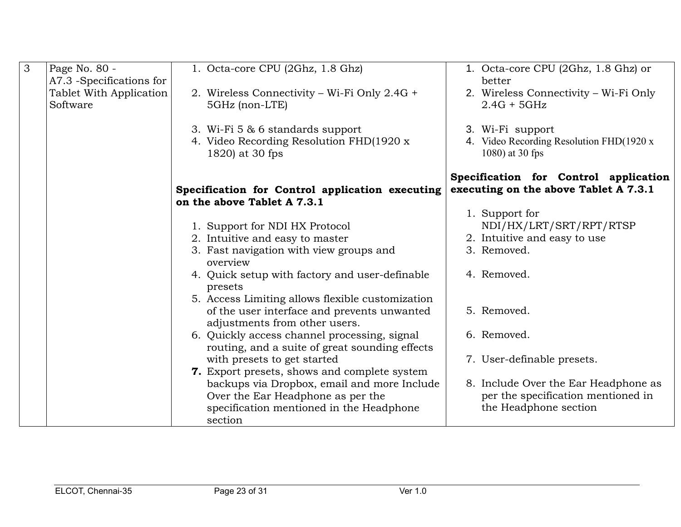| $\overline{3}$ | Page No. 80 -                                                   | 1. Octa-core CPU (2Ghz, 1.8 Ghz)                                                                | 1. Octa-core CPU (2Ghz, 1.8 Ghz) or<br>better                                   |
|----------------|-----------------------------------------------------------------|-------------------------------------------------------------------------------------------------|---------------------------------------------------------------------------------|
|                | A7.3 -Specifications for<br>Tablet With Application<br>Software | 2. Wireless Connectivity – Wi-Fi Only 2.4G +<br>5GHz (non-LTE)                                  | 2. Wireless Connectivity - Wi-Fi Only<br>$2.4G + 5GHz$                          |
|                |                                                                 | 3. Wi-Fi 5 & 6 standards support<br>4. Video Recording Resolution FHD(1920 x<br>1820) at 30 fps | 3. Wi-Fi support<br>4. Video Recording Resolution FHD(1920 x<br>1080) at 30 fps |
|                |                                                                 | Specification for Control application executing<br>on the above Tablet A 7.3.1                  | Specification for Control application<br>executing on the above Tablet A 7.3.1  |
|                |                                                                 |                                                                                                 | 1. Support for                                                                  |
|                |                                                                 | 1. Support for NDI HX Protocol                                                                  | NDI/HX/LRT/SRT/RPT/RTSP                                                         |
|                |                                                                 | 2. Intuitive and easy to master                                                                 | 2. Intuitive and easy to use                                                    |
|                |                                                                 | 3. Fast navigation with view groups and<br>overview                                             | 3. Removed.                                                                     |
|                |                                                                 | 4. Quick setup with factory and user-definable<br>presets                                       | 4. Removed.                                                                     |
|                |                                                                 | 5. Access Limiting allows flexible customization                                                |                                                                                 |
|                |                                                                 | of the user interface and prevents unwanted<br>adjustments from other users.                    | 5. Removed.                                                                     |
|                |                                                                 | 6. Quickly access channel processing, signal<br>routing, and a suite of great sounding effects  | 6. Removed.                                                                     |
|                |                                                                 | with presets to get started                                                                     | 7. User-definable presets.                                                      |
|                |                                                                 | 7. Export presets, shows and complete system                                                    |                                                                                 |
|                |                                                                 | backups via Dropbox, email and more Include                                                     | 8. Include Over the Ear Headphone as                                            |
|                |                                                                 | Over the Ear Headphone as per the                                                               | per the specification mentioned in                                              |
|                |                                                                 | specification mentioned in the Headphone                                                        | the Headphone section                                                           |
|                |                                                                 | section                                                                                         |                                                                                 |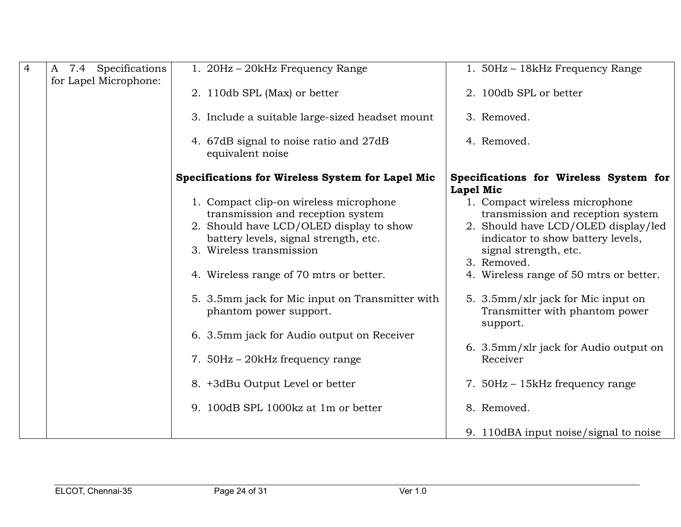| $\overline{4}$ | A 7.4 Specifications  | 1. 20Hz - 20kHz Frequency Range                            | 1. 50Hz - 18kHz Frequency Range                            |
|----------------|-----------------------|------------------------------------------------------------|------------------------------------------------------------|
|                | for Lapel Microphone: |                                                            |                                                            |
|                |                       | 2. 110db SPL (Max) or better                               | 2. 100db SPL or better                                     |
|                |                       | 3. Include a suitable large-sized headset mount            | 3. Removed.                                                |
|                |                       | 4. 67dB signal to noise ratio and 27dB<br>equivalent noise | 4. Removed.                                                |
|                |                       | Specifications for Wireless System for Lapel Mic           | Specifications for Wireless System for<br><b>Lapel Mic</b> |
|                |                       | 1. Compact clip-on wireless microphone                     | 1. Compact wireless microphone                             |
|                |                       | transmission and reception system                          | transmission and reception system                          |
|                |                       | 2. Should have LCD/OLED display to show                    | 2. Should have LCD/OLED display/led                        |
|                |                       | battery levels, signal strength, etc.                      | indicator to show battery levels,                          |
|                |                       | 3. Wireless transmission                                   | signal strength, etc.                                      |
|                |                       |                                                            | 3. Removed.                                                |
|                |                       | 4. Wireless range of 70 mtrs or better.                    | 4. Wireless range of 50 mtrs or better.                    |
|                |                       | 5. 3.5mm jack for Mic input on Transmitter with            | 5. 3.5mm/xlr jack for Mic input on                         |
|                |                       | phantom power support.                                     | Transmitter with phantom power                             |
|                |                       |                                                            | support.                                                   |
|                |                       | 6. 3.5mm jack for Audio output on Receiver                 |                                                            |
|                |                       |                                                            | 6. 3.5mm/xlr jack for Audio output on                      |
|                |                       | 7. 50Hz – 20kHz frequency range                            | Receiver                                                   |
|                |                       |                                                            |                                                            |
|                |                       | 8. +3dBu Output Level or better                            | 7. 50Hz - 15kHz frequency range                            |
|                |                       | 9. 100dB SPL 1000kz at 1m or better                        | 8. Removed.                                                |
|                |                       |                                                            | 9. 110dBA input noise/signal to noise                      |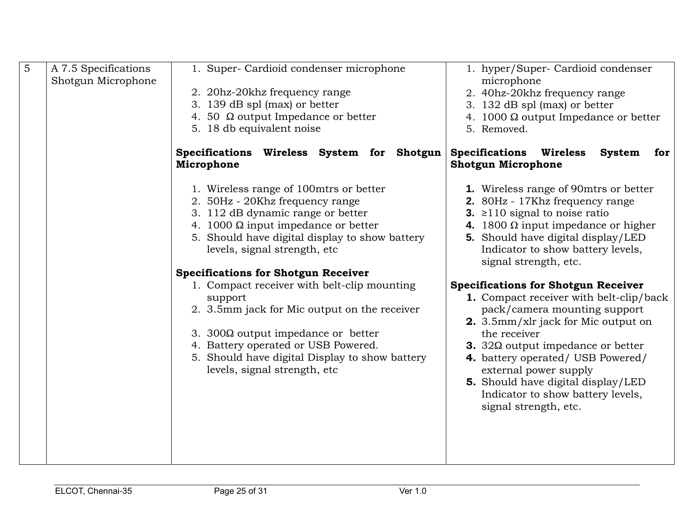| 5 | A 7.5 Specifications<br>Shotgun Microphone | 1. Super- Cardioid condenser microphone                                                                                                                                                                                                                                                                                                                                                                                                                                                                                                                                                     | 1. hyper/Super- Cardioid condenser<br>microphone                                                                                                                                                                                                                                                                                                                                                                                                                                                                                                                                                                                                                                                     |
|---|--------------------------------------------|---------------------------------------------------------------------------------------------------------------------------------------------------------------------------------------------------------------------------------------------------------------------------------------------------------------------------------------------------------------------------------------------------------------------------------------------------------------------------------------------------------------------------------------------------------------------------------------------|------------------------------------------------------------------------------------------------------------------------------------------------------------------------------------------------------------------------------------------------------------------------------------------------------------------------------------------------------------------------------------------------------------------------------------------------------------------------------------------------------------------------------------------------------------------------------------------------------------------------------------------------------------------------------------------------------|
|   |                                            | 2. 20hz-20khz frequency range                                                                                                                                                                                                                                                                                                                                                                                                                                                                                                                                                               | 2. 40hz-20khz frequency range                                                                                                                                                                                                                                                                                                                                                                                                                                                                                                                                                                                                                                                                        |
|   |                                            | 3. 139 dB spl (max) or better                                                                                                                                                                                                                                                                                                                                                                                                                                                                                                                                                               | 3. 132 dB spl (max) or better                                                                                                                                                                                                                                                                                                                                                                                                                                                                                                                                                                                                                                                                        |
|   |                                            | 4. 50 $\Omega$ output Impedance or better                                                                                                                                                                                                                                                                                                                                                                                                                                                                                                                                                   | 4. 1000 $\Omega$ output Impedance or better                                                                                                                                                                                                                                                                                                                                                                                                                                                                                                                                                                                                                                                          |
|   |                                            | 5. 18 db equivalent noise                                                                                                                                                                                                                                                                                                                                                                                                                                                                                                                                                                   | 5. Removed.                                                                                                                                                                                                                                                                                                                                                                                                                                                                                                                                                                                                                                                                                          |
|   |                                            | Specifications Wireless System for Shotgun                                                                                                                                                                                                                                                                                                                                                                                                                                                                                                                                                  | <b>Specifications Wireless</b><br><b>System</b><br>for                                                                                                                                                                                                                                                                                                                                                                                                                                                                                                                                                                                                                                               |
|   |                                            | Microphone<br>1. Wireless range of 100mtrs or better<br>2. 50Hz - 20Khz frequency range<br>3. 112 dB dynamic range or better<br>4. 1000 $\Omega$ input impedance or better<br>5. Should have digital display to show battery<br>levels, signal strength, etc<br><b>Specifications for Shotgun Receiver</b><br>1. Compact receiver with belt-clip mounting<br>support<br>2. 3.5mm jack for Mic output on the receiver<br>3. 300 $\Omega$ output impedance or better<br>4. Battery operated or USB Powered.<br>5. Should have digital Display to show battery<br>levels, signal strength, etc | <b>Shotgun Microphone</b><br>1. Wireless range of 90mtrs or better<br>2. 80Hz - 17Khz frequency range<br>3. $\geq$ 110 signal to noise ratio<br>4. 1800 $\Omega$ input impedance or higher<br>5. Should have digital display/LED<br>Indicator to show battery levels,<br>signal strength, etc.<br><b>Specifications for Shotgun Receiver</b><br>1. Compact receiver with belt-clip/back<br>pack/camera mounting support<br>2. 3.5mm/xlr jack for Mic output on<br>the receiver<br><b>3.</b> 32 $\Omega$ output impedance or better<br>4. battery operated/ USB Powered/<br>external power supply<br>5. Should have digital display/LED<br>Indicator to show battery levels,<br>signal strength, etc. |
|   |                                            |                                                                                                                                                                                                                                                                                                                                                                                                                                                                                                                                                                                             |                                                                                                                                                                                                                                                                                                                                                                                                                                                                                                                                                                                                                                                                                                      |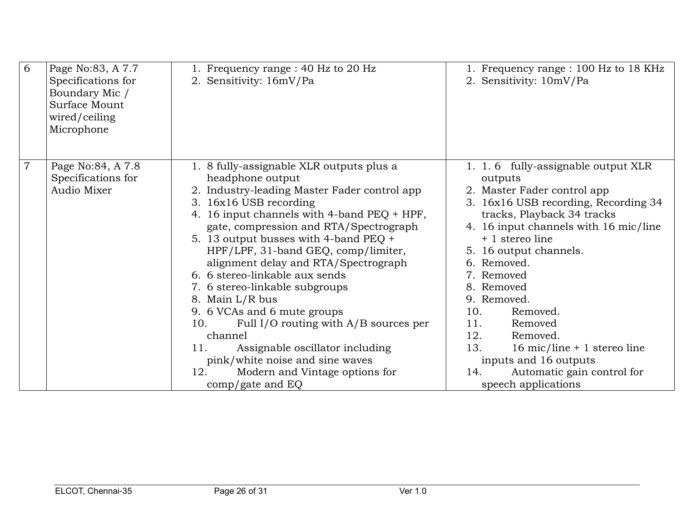| 6              | Page No:83, A 7.7<br>Specifications for<br>Boundary Mic /<br>Surface Mount<br>wired/ceiling<br>Microphone | 1. Frequency range : 40 Hz to 20 Hz<br>2. Sensitivity: 16mV/Pa                                                                                                                                                                                                                                                                                                                                                                                                                                                                                                                                                                                                                         | 1. Frequency range : 100 Hz to 18 KHz<br>2. Sensitivity: 10mV/Pa                                                                                                                                                                                                                                                                                                                                                                                                                      |
|----------------|-----------------------------------------------------------------------------------------------------------|----------------------------------------------------------------------------------------------------------------------------------------------------------------------------------------------------------------------------------------------------------------------------------------------------------------------------------------------------------------------------------------------------------------------------------------------------------------------------------------------------------------------------------------------------------------------------------------------------------------------------------------------------------------------------------------|---------------------------------------------------------------------------------------------------------------------------------------------------------------------------------------------------------------------------------------------------------------------------------------------------------------------------------------------------------------------------------------------------------------------------------------------------------------------------------------|
| $\overline{7}$ | Page No:84, A 7.8<br>Specifications for<br>Audio Mixer                                                    | 1. 8 fully-assignable XLR outputs plus a<br>headphone output<br>2. Industry-leading Master Fader control app<br>3. 16x16 USB recording<br>4. 16 input channels with 4-band PEQ + HPF,<br>gate, compression and RTA/Spectrograph<br>5. 13 output busses with 4-band PEQ +<br>HPF/LPF, 31-band GEQ, comp/limiter,<br>alignment delay and RTA/Spectrograph<br>6. 6 stereo-linkable aux sends<br>7. 6 stereo-linkable subgroups<br>8. Main L/R bus<br>9. 6 VCAs and 6 mute groups<br>Full I/O routing with A/B sources per<br>10.<br>channel<br>Assignable oscillator including<br>11.<br>pink/white noise and sine waves<br>12.<br>Modern and Vintage options for<br>$comp/gate$ and $EQ$ | 1. 1.6 fully-assignable output XLR<br>outputs<br>2. Master Fader control app<br>3. 16x16 USB recording, Recording 34<br>tracks, Playback 34 tracks<br>4. 16 input channels with 16 mic/line<br>+ 1 stereo line<br>5. 16 output channels.<br>6. Removed.<br>7. Removed<br>8. Removed<br>9. Removed.<br>10.<br>Removed.<br>11.<br>Removed<br>12.<br>Removed.<br>13.<br>16 mic/line + 1 stereo line<br>inputs and 16 outputs<br>Automatic gain control for<br>14.<br>speech applications |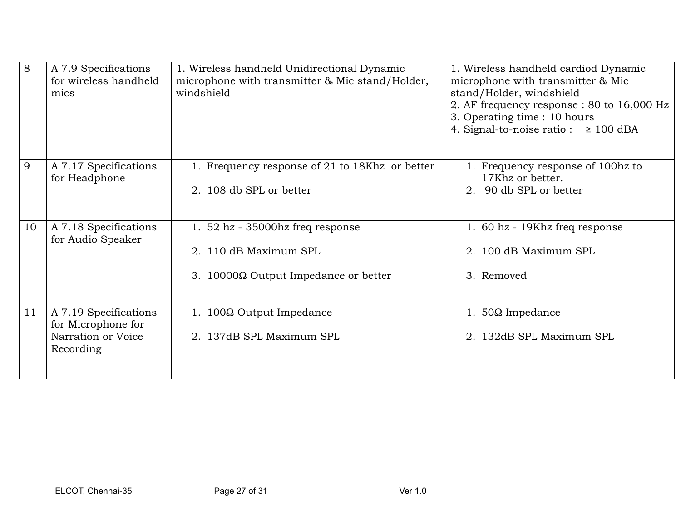| 8  | A 7.9 Specifications  | 1. Wireless handheld Unidirectional Dynamic     | 1. Wireless handheld cardiod Dynamic      |
|----|-----------------------|-------------------------------------------------|-------------------------------------------|
|    | for wireless handheld | microphone with transmitter & Mic stand/Holder, | microphone with transmitter & Mic         |
|    | mics                  | windshield                                      | stand/Holder, windshield                  |
|    |                       |                                                 | 2. AF frequency response: 80 to 16,000 Hz |
|    |                       |                                                 | 3. Operating time : 10 hours              |
|    |                       |                                                 | 4. Signal-to-noise ratio: $\geq 100$ dBA  |
|    |                       |                                                 |                                           |
| 9  | A 7.17 Specifications | 1. Frequency response of 21 to 18Khz or better  | 1. Frequency response of 100hz to         |
|    | for Headphone         |                                                 | 17Khz or better.                          |
|    |                       | 2. 108 db SPL or better                         | 2. 90 db SPL or better                    |
|    |                       |                                                 |                                           |
|    |                       |                                                 |                                           |
| 10 | A 7.18 Specifications | 1. $52$ hz - 35000 hz freq response             | 1. 60 hz - 19Khz freq response            |
|    | for Audio Speaker     |                                                 |                                           |
|    |                       | 2. 110 dB Maximum SPL                           | 2. 100 dB Maximum SPL                     |
|    |                       |                                                 |                                           |
|    |                       | 3. 10000 $\Omega$ Output Impedance or better    | 3. Removed                                |
|    |                       |                                                 |                                           |
| 11 | A 7.19 Specifications | 1. 100Ω Output Impedance                        | 1. $50\Omega$ Impedance                   |
|    | for Microphone for    |                                                 |                                           |
|    | Narration or Voice    | 2. 137dB SPL Maximum SPL                        | 2. 132dB SPL Maximum SPL                  |
|    | Recording             |                                                 |                                           |
|    |                       |                                                 |                                           |
|    |                       |                                                 |                                           |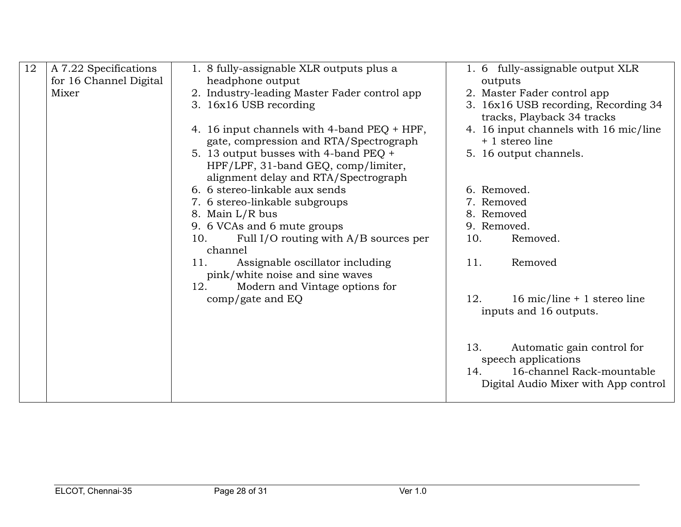| 12 | A 7.22 Specifications  | 1. 8 fully-assignable XLR outputs plus a       | 1. 6 fully-assignable output XLR      |
|----|------------------------|------------------------------------------------|---------------------------------------|
|    | for 16 Channel Digital | headphone output                               | outputs                               |
|    | Mixer                  | 2. Industry-leading Master Fader control app   | 2. Master Fader control app           |
|    |                        | 3. 16x16 USB recording                         | 3. 16x16 USB recording, Recording 34  |
|    |                        |                                                | tracks, Playback 34 tracks            |
|    |                        | 4. 16 input channels with 4-band PEQ + HPF,    | 4. 16 input channels with 16 mic/line |
|    |                        | gate, compression and RTA/Spectrograph         | + 1 stereo line                       |
|    |                        | 5. 13 output busses with 4-band PEQ +          | 5. 16 output channels.                |
|    |                        | HPF/LPF, 31-band GEQ, comp/limiter,            |                                       |
|    |                        | alignment delay and RTA/Spectrograph           |                                       |
|    |                        | 6. 6 stereo-linkable aux sends                 | 6. Removed.                           |
|    |                        | 7. 6 stereo-linkable subgroups                 | 7. Removed                            |
|    |                        | 8. Main L/R bus                                | 8. Removed                            |
|    |                        | 9. 6 VCAs and 6 mute groups                    | 9. Removed.                           |
|    |                        | Full I/O routing with $A/B$ sources per<br>10. | 10.<br>Removed.                       |
|    |                        | channel                                        |                                       |
|    |                        | 11.<br>Assignable oscillator including         | 11.<br>Removed                        |
|    |                        | pink/white noise and sine waves                |                                       |
|    |                        | 12.<br>Modern and Vintage options for          |                                       |
|    |                        | $comp/gate$ and $EQ$                           | 16 mic/line + 1 stereo line<br>12.    |
|    |                        |                                                | inputs and 16 outputs.                |
|    |                        |                                                |                                       |
|    |                        |                                                |                                       |
|    |                        |                                                | 13.<br>Automatic gain control for     |
|    |                        |                                                |                                       |
|    |                        |                                                | speech applications                   |
|    |                        |                                                | 16-channel Rack-mountable<br>14.      |
|    |                        |                                                | Digital Audio Mixer with App control  |
|    |                        |                                                |                                       |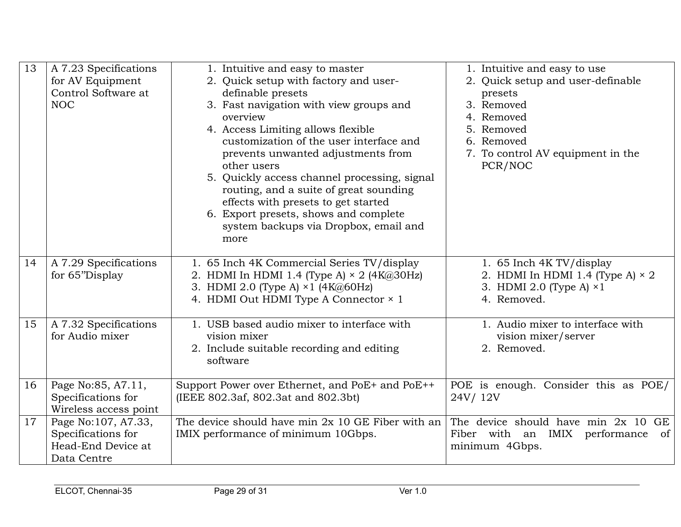| 13 | A 7.23 Specifications<br>for AV Equipment<br>Control Software at<br><b>NOC</b> | 1. Intuitive and easy to master<br>2. Quick setup with factory and user-<br>definable presets<br>3. Fast navigation with view groups and<br>overview<br>4. Access Limiting allows flexible<br>customization of the user interface and<br>prevents unwanted adjustments from<br>other users<br>5. Quickly access channel processing, signal<br>routing, and a suite of great sounding<br>effects with presets to get started<br>6. Export presets, shows and complete<br>system backups via Dropbox, email and<br>more | 1. Intuitive and easy to use<br>2. Quick setup and user-definable<br>presets<br>3. Removed<br>4. Removed<br>5. Removed<br>6. Removed<br>7. To control AV equipment in the<br>PCR/NOC |
|----|--------------------------------------------------------------------------------|-----------------------------------------------------------------------------------------------------------------------------------------------------------------------------------------------------------------------------------------------------------------------------------------------------------------------------------------------------------------------------------------------------------------------------------------------------------------------------------------------------------------------|--------------------------------------------------------------------------------------------------------------------------------------------------------------------------------------|
| 14 | A 7.29 Specifications<br>for 65"Display                                        | 1. 65 Inch 4K Commercial Series TV/display<br>2. HDMI In HDMI 1.4 (Type A) $\times$ 2 (4K@30Hz)<br>3. HDMI 2.0 (Type A) $\times$ 1 (4K@60Hz)<br>4. HDMI Out HDMI Type A Connector × 1                                                                                                                                                                                                                                                                                                                                 | 1. 65 Inch 4K TV/display<br>2. HDMI In HDMI 1.4 (Type A) $\times$ 2<br>3. HDMI 2.0 (Type A) $\times 1$<br>4. Removed.                                                                |
| 15 | A 7.32 Specifications<br>for Audio mixer                                       | 1. USB based audio mixer to interface with<br>vision mixer<br>2. Include suitable recording and editing<br>software                                                                                                                                                                                                                                                                                                                                                                                                   | 1. Audio mixer to interface with<br>vision mixer/server<br>2. Removed.                                                                                                               |
| 16 | Page No:85, A7.11,<br>Specifications for<br>Wireless access point              | Support Power over Ethernet, and PoE+ and PoE++<br>(IEEE 802.3af, 802.3at and 802.3bt)                                                                                                                                                                                                                                                                                                                                                                                                                                | POE is enough. Consider this as POE/<br>24V/12V                                                                                                                                      |
| 17 | Page No:107, A7.33,<br>Specifications for<br>Head-End Device at<br>Data Centre | The device should have min $2x$ 10 GE Fiber with an<br>IMIX performance of minimum 10Gbps.                                                                                                                                                                                                                                                                                                                                                                                                                            | The device should have min 2x 10 GE<br>Fiber with an IMIX performance<br>of<br>minimum 4Gbps.                                                                                        |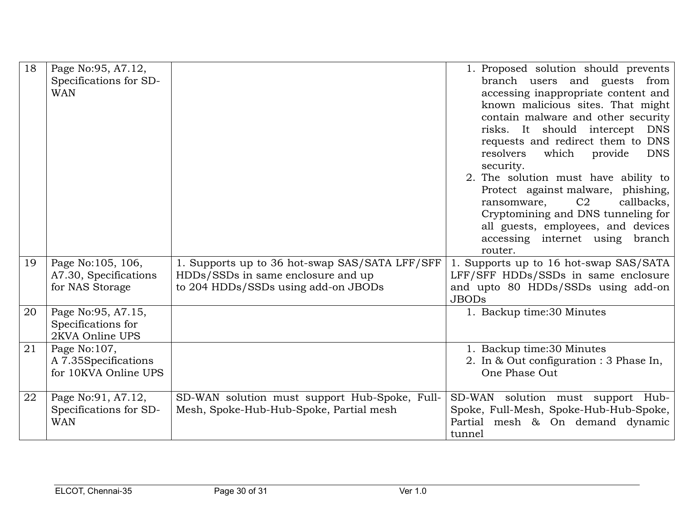| 18 | Page No: 95, A7.12,<br>Specifications for SD-<br><b>WAN</b>   |                                                                                                                             | 1. Proposed solution should prevents<br>branch users and guests from<br>accessing inappropriate content and<br>known malicious sites. That might<br>contain malware and other security<br>risks. It should intercept DNS<br>requests and redirect them to DNS<br>resolvers<br>which<br>provide<br><b>DNS</b><br>security.<br>2. The solution must have ability to<br>Protect against malware, phishing,<br>C <sub>2</sub><br>callbacks,<br>ransomware,<br>Cryptomining and DNS tunneling for<br>all guests, employees, and devices<br>accessing internet using branch<br>router. |
|----|---------------------------------------------------------------|-----------------------------------------------------------------------------------------------------------------------------|----------------------------------------------------------------------------------------------------------------------------------------------------------------------------------------------------------------------------------------------------------------------------------------------------------------------------------------------------------------------------------------------------------------------------------------------------------------------------------------------------------------------------------------------------------------------------------|
| 19 | Page No:105, 106,<br>A7.30, Specifications<br>for NAS Storage | 1. Supports up to 36 hot-swap SAS/SATA LFF/SFF<br>HDDs/SSDs in same enclosure and up<br>to 204 HDDs/SSDs using add-on JBODs | 1. Supports up to 16 hot-swap SAS/SATA<br>LFF/SFF HDDs/SSDs in same enclosure<br>and upto 80 HDDs/SSDs using add-on<br><b>JBODs</b>                                                                                                                                                                                                                                                                                                                                                                                                                                              |
| 20 | Page No: 95, A7.15,<br>Specifications for<br>2KVA Online UPS  |                                                                                                                             | 1. Backup time:30 Minutes                                                                                                                                                                                                                                                                                                                                                                                                                                                                                                                                                        |
| 21 | Page No:107,<br>A 7.35Specifications<br>for 10KVA Online UPS  |                                                                                                                             | 1. Backup time:30 Minutes<br>2. In & Out configuration : 3 Phase In,<br>One Phase Out                                                                                                                                                                                                                                                                                                                                                                                                                                                                                            |
| 22 | Page No: 91, A7.12,<br>Specifications for SD-<br><b>WAN</b>   | SD-WAN solution must support Hub-Spoke, Full-<br>Mesh, Spoke-Hub-Hub-Spoke, Partial mesh                                    | SD-WAN solution must support Hub-<br>Spoke, Full-Mesh, Spoke-Hub-Hub-Spoke,<br>Partial mesh & On demand dynamic<br>tunnel                                                                                                                                                                                                                                                                                                                                                                                                                                                        |